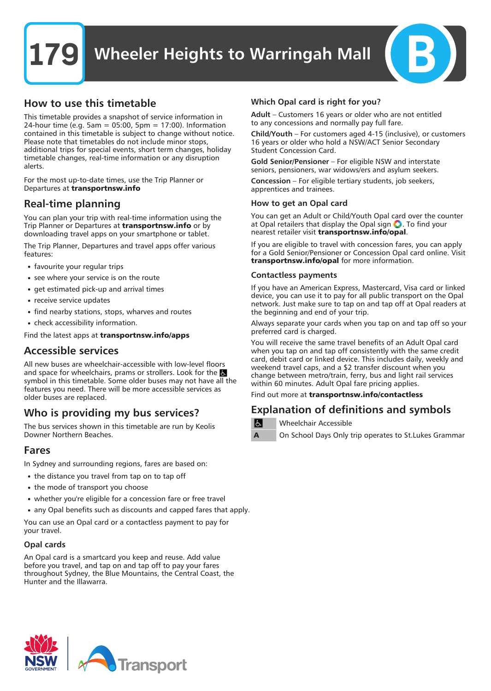### How to use this timetable

This timetable provides a snapshot of service information in 24-hour time (e.g. 5am = 05:00, 5pm = 17:00). Information contained in this timetable is subject to change without notice. Please note that timetables do not include minor stops, additional trips for special events, short term changes, holiday timetable changes, real-time information or any disruption alerts.

For the most up-to-date times, use the Trip Planner or Departures at transportnsw.info

## Real-time planning

You can plan your trip with real-time information using the Trip Planner or Departures at **transportnsw.info** or by downloading travel apps on your smartphone or tablet.

The Trip Planner, Departures and travel apps offer various features:

- favourite your regular trips
- see where your service is on the route
- get estimated pick-up and arrival times
- receive service updates
- find nearby stations, stops, wharves and routes
- check accessibility information.

Find the latest apps at transportnsw.info/apps

### Accessible services

All new buses are wheelchair-accessible with low-level floors and space for wheelchairs, prams or strollers. Look for the symbol in this timetable. Some older buses may not have all the features you need. There will be more accessible services as older buses are replaced.

## Who is providing my bus services?

The bus services shown in this timetable are run by Keolis Downer Northern Beaches.

### Fares

In Sydney and surrounding regions, fares are based on:

- the distance you travel from tap on to tap off
- the mode of transport you choose
- whether you're eligible for a concession fare or free travel
- any Opal benefits such as discounts and capped fares that apply.

You can use an Opal card or a contactless payment to pay for your travel.

#### Opal cards

An Opal card is a smartcard you keep and reuse. Add value before you travel, and tap on and tap off to pay your fares throughout Sydney, the Blue Mountains, the Central Coast, the Hunter and the Illawarra.

#### Which Opal card is right for you?

Adult – Customers 16 years or older who are not entitled to any concessions and normally pay full fare.

Child/Youth – For customers aged 4-15 (inclusive), or customers 16 years or older who hold a NSW/ACT Senior Secondary Student Concession Card.

Gold Senior/Pensioner – For eligible NSW and interstate seniors, pensioners, war widows/ers and asylum seekers.

Concession – For eligible tertiary students, job seekers, apprentices and trainees.

#### How to get an Opal card

You can get an Adult or Child/Youth Opal card over the counter at Opal retailers that display the Opal sign  $\bigcirc$ . To find your nearest retailer visit transportnsw.info/opal.

If you are eligible to travel with concession fares, you can apply for a Gold Senior/Pensioner or Concession Opal card online. Visit transportnsw.info/opal for more information.

#### Contactless payments

If you have an American Express, Mastercard, Visa card or linked device, you can use it to pay for all public transport on the Opal network. Just make sure to tap on and tap off at Opal readers at the beginning and end of your trip.

Always separate your cards when you tap on and tap off so your preferred card is charged.

You will receive the same travel benefits of an Adult Opal card when you tap on and tap off consistently with the same credit card, debit card or linked device. This includes daily, weekly and weekend travel caps, and a \$2 transfer discount when you change between metro/train, ferry, bus and light rail services within 60 minutes. Adult Opal fare pricing applies.

Find out more at transportnsw.info/contactless

### Explanation of definitions and symbols

Wheelchair Accessible

On School Days Only trip operates to St.Lukes Grammar

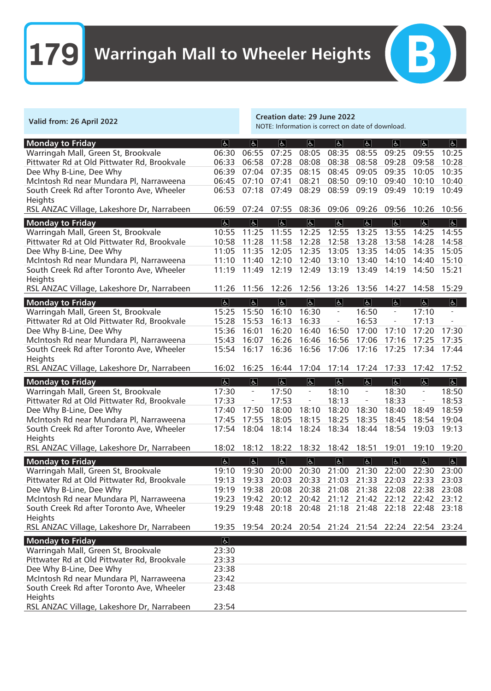| Valid from: 26 April 2022                                          |                            | <b>Creation date: 29 June 2022</b><br>NOTE: Information is correct on date of download. |                            |                                                          |                           |                                               |                                                       |                                            |                         |
|--------------------------------------------------------------------|----------------------------|-----------------------------------------------------------------------------------------|----------------------------|----------------------------------------------------------|---------------------------|-----------------------------------------------|-------------------------------------------------------|--------------------------------------------|-------------------------|
| <b>Monday to Friday</b>                                            | E                          | $\boxed{6}$                                                                             | $\vert$                    | $\overline{d}$                                           | $\vert$                   | $\overline{d}$                                | $\overline{6}$                                        | $\overline{6}$                             | $\boxed{d}$             |
| Warringah Mall, Green St, Brookvale                                | 06:30                      | 06:55                                                                                   | 07:25                      | 08:05                                                    | 08:35                     | 08:55                                         | 09:25                                                 | 09:55                                      | 10:25                   |
| Pittwater Rd at Old Pittwater Rd, Brookvale                        | 06:33                      | 06:58                                                                                   | 07:28                      | 08:08                                                    | 08:38                     | 08:58                                         | 09:28                                                 | 09:58                                      | 10:28                   |
| Dee Why B-Line, Dee Why                                            | 06:39                      | 07:04                                                                                   | 07:35                      | 08:15                                                    | 08:45                     | 09:05                                         | 09:35                                                 | 10:05                                      | 10:35                   |
| McIntosh Rd near Mundara Pl, Narraweena                            | 06:45                      | 07:10                                                                                   | 07:41                      | 08:21                                                    | 08:50                     | 09:10                                         | 09:40                                                 | 10:10                                      | 10:40                   |
| South Creek Rd after Toronto Ave, Wheeler                          | 06:53                      | 07:18                                                                                   | 07:49                      | 08:29                                                    | 08:59                     | 09:19                                         | 09:49                                                 | 10:19                                      | 10:49                   |
| Heights<br>RSL ANZAC Village, Lakeshore Dr, Narrabeen              | 06:59                      | 07:24                                                                                   | 07:55                      | 08:36                                                    | 09:06                     | 09:26                                         | 09:56                                                 | 10:26                                      | 10:56                   |
|                                                                    |                            |                                                                                         |                            |                                                          |                           |                                               |                                                       |                                            |                         |
| <b>Monday to Friday</b><br>Warringah Mall, Green St, Brookvale     | E <br>10:55                | $\overline{d}$<br>11:25                                                                 | $\overline{d}$<br>11:55    | $\overline{d}$<br>12:25                                  | $\overline{6}$<br>12:55   | $\overline{d}$<br>13:25                       | E <br>13:55                                           | $\overline{d}$<br>14:25                    | $\overline{5}$<br>14:55 |
| Pittwater Rd at Old Pittwater Rd, Brookvale                        | 10:58                      | 11:28                                                                                   | 11:58                      | 12:28                                                    | 12:58                     | 13:28                                         | 13:58                                                 | 14:28                                      | 14:58                   |
| Dee Why B-Line, Dee Why                                            | 11:05                      | 11:35                                                                                   | 12:05                      | 12:35                                                    | 13:05                     | 13:35                                         | 14:05                                                 | 14:35                                      | 15:05                   |
| McIntosh Rd near Mundara Pl, Narraweena                            | 11:10                      | 11:40                                                                                   | 12:10                      | 12:40                                                    | 13:10                     | 13:40                                         | 14:10                                                 | 14:40                                      | 15:10                   |
| South Creek Rd after Toronto Ave, Wheeler                          | 11:19                      | 11:49                                                                                   | 12:19                      | 12:49                                                    | 13:19                     | 13:49                                         | 14:19                                                 | 14:50                                      | 15:21                   |
| Heights                                                            |                            |                                                                                         |                            |                                                          |                           |                                               |                                                       |                                            |                         |
| RSL ANZAC Village, Lakeshore Dr, Narrabeen                         | 11:26                      | 11:56                                                                                   | 12:26                      | 12:56                                                    | 13:26                     | 13:56                                         | 14:27                                                 | 14:58                                      | 15:29                   |
| <b>Monday to Friday</b>                                            | $\overline{ \mathbf{b} }$  | $\overline{d}$                                                                          | $\vert \overline{L} \vert$ | $\overline{6}$                                           | $\overline{d}$            | $\overline{d}$                                | $\overline{d}$                                        | $\overline{\mathbb{R}}$                    | $\boxed{d}$             |
| Warringah Mall, Green St, Brookvale                                | 15:25                      | 15:50                                                                                   | 16:10                      | 16:30                                                    | $\overline{\phantom{a}}$  | 16:50                                         | $\overline{\phantom{0}}$                              | 17:10                                      |                         |
| Pittwater Rd at Old Pittwater Rd, Brookvale                        | 15:28                      | 15:53                                                                                   | 16:13                      | 16:33                                                    | $\overline{\phantom{a}}$  | 16:53                                         |                                                       | 17:13                                      |                         |
| Dee Why B-Line, Dee Why                                            | 15:36                      | 16:01                                                                                   | 16:20                      | 16:40                                                    | 16:50                     | 17:00                                         | 17:10                                                 | 17:20                                      | 17:30                   |
| McIntosh Rd near Mundara Pl, Narraweena                            | 15:43                      | 16:07                                                                                   | 16:26                      | 16:46                                                    | 16:56                     | 17:06                                         | 17:16                                                 | 17:25                                      | 17:35                   |
| South Creek Rd after Toronto Ave, Wheeler<br>Heights               | 15:54                      | 16:17                                                                                   | 16:36                      | 16:56                                                    | 17:06                     | 17:16                                         | 17:25                                                 | 17:34                                      | 17:44                   |
|                                                                    |                            |                                                                                         |                            |                                                          |                           |                                               |                                                       |                                            |                         |
|                                                                    |                            |                                                                                         |                            |                                                          |                           |                                               |                                                       |                                            |                         |
| RSL ANZAC Village, Lakeshore Dr, Narrabeen                         | 16:02                      | 16:25                                                                                   |                            | 16:44 17:04 17:14 17:24 17:33                            |                           |                                               |                                                       | 17:42                                      | 17:52                   |
| <b>Monday to Friday</b>                                            | $\overline{ \mathbf{f}  }$ | $\boxed{d}$                                                                             | E                          | $\overline{6}$                                           | $\overline{6}$            | $\overline{6}$                                | $ \mathbf{F} $                                        | $\boxed{d}$                                | $\overline{5}$          |
| Warringah Mall, Green St, Brookvale                                | 17:30                      | $\overline{\phantom{a}}$<br>$\overline{\phantom{a}}$                                    | 17:50                      | $\qquad \qquad \blacksquare$<br>$\overline{\phantom{a}}$ | 18:10                     | $\overline{\phantom{0}}$<br>$\qquad \qquad -$ | 18:30                                                 | $\overline{\phantom{0}}$<br>$\blacksquare$ | 18:50                   |
| Pittwater Rd at Old Pittwater Rd, Brookvale                        | 17:33<br>17:40             |                                                                                         | 17:53                      |                                                          | 18:13                     | 18:30                                         | 18:33                                                 | 18:49                                      | 18:53<br>18:59          |
| Dee Why B-Line, Dee Why<br>McIntosh Rd near Mundara Pl, Narraweena | 17:45                      | 17:50<br>17:55                                                                          | 18:00<br>18:05             | 18:10<br>18:15                                           | 18:20<br>18:25            | 18:35                                         | 18:40<br>18:45                                        | 18:54                                      | 19:04                   |
| South Creek Rd after Toronto Ave, Wheeler                          | 17:54                      | 18:04                                                                                   | 18:14                      | 18:24                                                    | 18:34                     | 18:44                                         | 18:54                                                 | 19:03                                      | 19:13                   |
| Heights                                                            |                            |                                                                                         |                            |                                                          |                           |                                               |                                                       |                                            |                         |
| RSL ANZAC Village, Lakeshore Dr, Narrabeen                         | 18:02                      | 18:12                                                                                   | 18:22                      | 18:32 18:42 18:51                                        |                           |                                               | 19:01                                                 | 19:10                                      | 19:20                   |
| <b>Monday to Friday</b>                                            | E                          | $\boxed{d}$                                                                             | $\boxed{d}$                | $\overline{\mathfrak{b}}$                                | $\overline{\mathfrak{b}}$ | $\overline{\mathbb{P}}$                       | $\boxed{d}$                                           | $\overline{f}$                             | $\overline{5}$          |
| Warringah Mall, Green St, Brookvale                                | 19:10                      | 19:30 20:00                                                                             |                            |                                                          | 20:30 21:00 21:30         |                                               | 22:00 22:30                                           |                                            | 23:00                   |
| Pittwater Rd at Old Pittwater Rd, Brookvale                        | 19:13                      | 19:33                                                                                   |                            | 20:03 20:33 21:03                                        |                           |                                               | 21:33 22:03                                           | 22:33                                      | 23:03                   |
| Dee Why B-Line, Dee Why                                            | 19:19                      | 19:38                                                                                   |                            | 20:08 20:38 21:08                                        |                           |                                               | 21:38 22:08                                           | 22:38 23:08                                |                         |
| McIntosh Rd near Mundara Pl, Narraweena                            | 19:23                      | 19:42                                                                                   |                            |                                                          |                           |                                               | 20:12 20:42 21:12 21:42 22:12 22:42                   |                                            | 23:12                   |
| South Creek Rd after Toronto Ave, Wheeler                          | 19:29                      |                                                                                         |                            |                                                          |                           |                                               | 19:48 20:18 20:48 21:18 21:48 22:18 22:48             |                                            | 23:18                   |
| Heights<br>RSL ANZAC Village, Lakeshore Dr, Narrabeen              |                            |                                                                                         |                            |                                                          |                           |                                               | 19:35 19:54 20:24 20:54 21:24 21:54 22:24 22:54 23:24 |                                            |                         |
| <b>Monday to Friday</b>                                            | E                          |                                                                                         |                            |                                                          |                           |                                               |                                                       |                                            |                         |
| Warringah Mall, Green St, Brookvale                                | 23:30                      |                                                                                         |                            |                                                          |                           |                                               |                                                       |                                            |                         |
| Pittwater Rd at Old Pittwater Rd, Brookvale                        | 23:33                      |                                                                                         |                            |                                                          |                           |                                               |                                                       |                                            |                         |
| Dee Why B-Line, Dee Why                                            | 23:38                      |                                                                                         |                            |                                                          |                           |                                               |                                                       |                                            |                         |
| McIntosh Rd near Mundara Pl, Narraweena                            | 23:42                      |                                                                                         |                            |                                                          |                           |                                               |                                                       |                                            |                         |
| South Creek Rd after Toronto Ave, Wheeler<br>Heights               | 23:48                      |                                                                                         |                            |                                                          |                           |                                               |                                                       |                                            |                         |

 $(B)$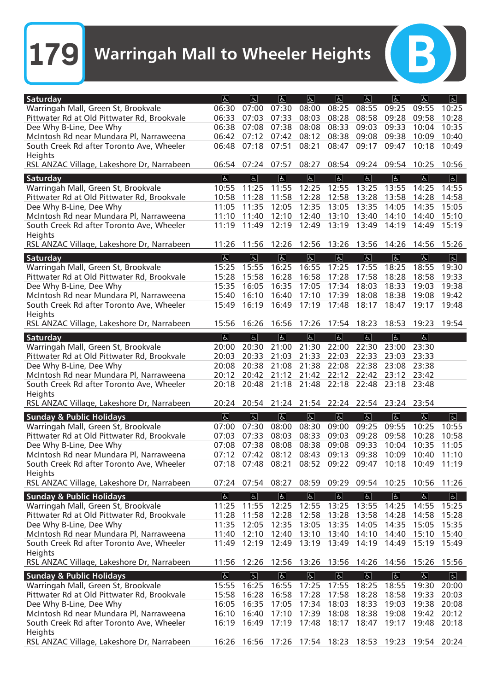B)

| Saturday                                        | $\overline{d}$                | $\vert \mathbf{P} \vert$ | $ \mathbf{F} $             | $\sigma$                | $ \mathbf{f} $            | $\mathfrak{F}$          | $ \mathbf{F} $                                        | a                       | E                       |
|-------------------------------------------------|-------------------------------|--------------------------|----------------------------|-------------------------|---------------------------|-------------------------|-------------------------------------------------------|-------------------------|-------------------------|
| Warringah Mall, Green St, Brookvale             | 06:30                         | 07:00                    | 07:30                      | 08:00                   | 08:25                     | 08:55                   | 09:25                                                 | 09:55                   | 10:25                   |
| Pittwater Rd at Old Pittwater Rd, Brookvale     | 06:33                         | 07:03                    | 07:33                      | 08:03                   | 08:28                     | 08:58                   | 09:28                                                 | 09:58                   | 10:28                   |
| Dee Why B-Line, Dee Why                         | 06:38                         | 07:08                    | 07:38                      | 08:08                   | 08:33                     | 09:03                   | 09:33                                                 | 10:04                   | 10:35                   |
| McIntosh Rd near Mundara Pl, Narraweena         | 06:42                         | 07:12                    | 07:42                      | 08:12                   | 08:38                     | 09:08                   | 09:38                                                 | 10:09                   | 10:40                   |
| South Creek Rd after Toronto Ave, Wheeler       | 06:48                         | 07:18                    | 07:51                      | 08:21                   | 08:47                     | 09:17                   | 09:47                                                 | 10:18                   | 10:49                   |
| Heights                                         |                               |                          |                            |                         |                           |                         |                                                       |                         |                         |
| RSL ANZAC Village, Lakeshore Dr, Narrabeen      |                               | 06:54 07:24 07:57        |                            | 08:27                   |                           | 08:54 09:24 09:54       |                                                       | 10:25                   | 10:56                   |
| Saturday                                        | $\overline{6}$                | $\overline{d}$           | $ \mathbf{t} $             | $\overline{d}$          | $ \mathbf{f} $            | $\overline{b}$          | $\boxed{d}$                                           | $\overline{\mathbb{P}}$ | $\overline{5}$          |
| Warringah Mall, Green St, Brookvale             | 10:55                         | 11:25                    | 11:55                      | 12:25                   | 12:55                     | 13:25                   | 13:55                                                 | 14:25                   | 14:55                   |
| Pittwater Rd at Old Pittwater Rd, Brookvale     | 10:58                         | 11:28                    | 11:58                      | 12:28                   | 12:58                     | 13:28                   | 13:58                                                 | 14:28                   | 14:58                   |
| Dee Why B-Line, Dee Why                         | 11:05                         | 11:35                    | 12:05                      | 12:35                   | 13:05                     | 13:35                   | 14:05                                                 | 14:35                   | 15:05                   |
| McIntosh Rd near Mundara Pl, Narraweena         | 11:10                         | 11:40                    | 12:10                      | 12:40                   | 13:10                     | 13:40                   | 14:10                                                 | 14:40                   | 15:10                   |
| South Creek Rd after Toronto Ave, Wheeler       | 11:19                         | 11:49                    | 12:19                      | 12:49                   | 13:19                     | 13:49                   | 14:19                                                 | 14:49                   | 15:19                   |
| Heights                                         |                               |                          |                            |                         |                           |                         |                                                       |                         |                         |
| RSL ANZAC Village, Lakeshore Dr, Narrabeen      | 11:26                         | 11:56                    | 12:26                      | 12:56                   | 13:26                     | 13:56                   | 14:26                                                 | 14:56                   | 15:26                   |
|                                                 |                               |                          |                            |                         | E                         |                         |                                                       |                         |                         |
| Saturday<br>Warringah Mall, Green St, Brookvale | $\boxed{\mathbf{F}}$<br>15:25 | E <br>15:55              | E <br>16:25                | E <br>16:55             | 17:25                     | E <br>17:55             | $\boxed{\mathbf{F}}$<br>18:25                         | E <br>18:55             | E <br>19:30             |
| Pittwater Rd at Old Pittwater Rd, Brookvale     | 15:28                         | 15:58                    | 16:28                      | 16:58                   | 17:28                     | 17:58                   | 18:28                                                 | 18:58                   | 19:33                   |
| Dee Why B-Line, Dee Why                         | 15:35                         | 16:05                    | 16:35                      | 17:05                   | 17:34                     | 18:03                   | 18:33                                                 | 19:03                   | 19:38                   |
| McIntosh Rd near Mundara Pl, Narraweena         | 15:40                         | 16:10                    | 16:40                      | 17:10                   | 17:39                     | 18:08                   | 18:38                                                 | 19:08                   | 19:42                   |
| South Creek Rd after Toronto Ave, Wheeler       | 15:49                         | 16:19                    | 16:49                      | 17:19                   | 17:48                     | 18:17                   | 18:47                                                 | 19:17                   | 19:48                   |
| Heights                                         |                               |                          |                            |                         |                           |                         |                                                       |                         |                         |
| RSL ANZAC Village, Lakeshore Dr, Narrabeen      | 15:56                         | 16:26                    | 16:56                      | 17:26                   | 17:54                     | 18:23                   | 18:53                                                 | 19:23                   | 19:54                   |
|                                                 |                               |                          |                            |                         |                           |                         |                                                       |                         |                         |
| Saturday                                        | $\overline{6}$                | $\overline{\mathbb{R}}$  | $\vert \overline{L} \vert$ | $\overline{d}$          | $\overline{ \mathbf{t} }$ | $\overline{b}$          | $\overline{ \mathbf{t} }$                             | $\overline{\mathbb{R}}$ |                         |
| Warringah Mall, Green St, Brookvale             | 20:00                         | 20:30                    | 21:00                      | 21:30                   | 22:00                     | 22:30                   | 23:00                                                 | 23:30                   |                         |
| Pittwater Rd at Old Pittwater Rd, Brookvale     | 20:03                         | 20:33                    | 21:03                      | 21:33                   | 22:03                     | 22:33                   | 23:03                                                 | 23:33                   |                         |
| Dee Why B-Line, Dee Why                         | 20:08                         | 20:38                    | 21:08                      | 21:38                   | 22:08                     | 22:38                   | 23:08                                                 | 23:38                   |                         |
| McIntosh Rd near Mundara Pl, Narraweena         | 20:12                         | 20:42                    | 21:12                      | 21:42                   | 22:12                     | 22:42                   | 23:12                                                 | 23:42                   |                         |
| South Creek Rd after Toronto Ave, Wheeler       | 20:18                         | 20:48                    | 21:18                      | 21:48                   | 22:18                     | 22:48                   | 23:18                                                 | 23:48                   |                         |
| Heights                                         |                               |                          |                            |                         |                           |                         |                                                       |                         |                         |
| RSL ANZAC Village, Lakeshore Dr, Narrabeen      | 20:24                         | 20:54                    |                            | 21:24 21:54 22:24       |                           |                         | 22:54 23:24                                           | 23:54                   |                         |
| <b>Sunday &amp; Public Holidays</b>             | E                             | $\boxed{d}$              | E                          | $\boxed{d}$             | $\overline{ \mathbf{h} }$ | $\overline{d}$          | $\overline{ \mathbf{b} }$                             | $\overline{d}$          | $\sigma$                |
| Warringah Mall, Green St, Brookvale             | 07:00                         | 07:30                    | 08:00                      | 08:30                   | 09:00                     | 09:25                   | 09:55                                                 | 10:25                   | 10:55                   |
| Pittwater Rd at Old Pittwater Rd, Brookvale     | 07:03                         | 07:33                    | 08:03                      | 08:33                   | 09:03                     | 09:28                   | 09:58                                                 | 10:28                   | 10:58                   |
| Dee Why B-Line, Dee Why                         | 07:08                         | 07:38                    | 08:08                      | 08:38                   | 09:08                     | 09:33                   | 10:04                                                 | 10:35                   | 11:05                   |
| McIntosh Rd near Mundara Pl, Narraweena         | 07:12                         | 07:42                    | 08:12                      | 08:43                   | 09:13                     | 09:38                   | 10:09                                                 | 10:40                   | 11:10                   |
| South Creek Rd after Toronto Ave, Wheeler       |                               |                          |                            |                         |                           |                         | 07:18 07:48 08:21 08:52 09:22 09:47 10:18 10:49 11:19 |                         |                         |
| Heights                                         |                               |                          |                            |                         |                           |                         |                                                       |                         |                         |
| RSL ANZAC Village, Lakeshore Dr, Narrabeen      |                               |                          | 07:24 07:54 08:27          |                         |                           | 08:59 09:29 09:54 10:25 |                                                       | 10:56                   | 11:26                   |
| <b>Sunday &amp; Public Holidays</b>             | $\boxed{\mathbf{f}}$          | $\overline{\mathbb{C}}$  | $\boxed{6}$                | $\overline{\mathbb{C}}$ | $\overline{ \mathbf{t} }$ | $\overline{\mathbb{C}}$ | $\overline{6}$                                        | $\overline{6}$          | $\overline{\mathbb{R}}$ |
| Warringah Mall, Green St, Brookvale             | 11:25                         | 11:55                    | 12:25                      | 12:55                   | 13:25                     | 13:55                   | 14:25                                                 | 14:55                   | 15:25                   |
| Pittwater Rd at Old Pittwater Rd, Brookvale     | 11:28                         | 11:58                    | 12:28                      | 12:58                   | 13:28                     | 13:58                   | 14:28                                                 | 14:58                   | 15:28                   |
| Dee Why B-Line, Dee Why                         | 11:35                         | 12:05                    | 12:35                      | 13:05                   | 13:35                     | 14:05                   | 14:35                                                 | 15:05                   | 15:35                   |
| McIntosh Rd near Mundara Pl, Narraweena         | 11:40                         | 12:10                    | 12:40                      | 13:10                   | 13:40                     | 14:10                   | 14:40                                                 | 15:10                   | 15:40                   |
| South Creek Rd after Toronto Ave, Wheeler       | 11:49                         | 12:19                    | 12:49                      | 13:19                   | 13:49                     | 14:19                   | 14:49                                                 | 15:19                   | 15:49                   |
| Heights                                         |                               |                          |                            |                         |                           |                         |                                                       |                         |                         |
| RSL ANZAC Village, Lakeshore Dr, Narrabeen      | 11:56                         | 12:26 12:56              |                            | 13:26 13:56 14:26       |                           |                         | 14:56 15:26 15:56                                     |                         |                         |
| <b>Sunday &amp; Public Holidays</b>             | $\boxed{6}$                   | $\overline{P}$           | $\boxed{d}$                | $\overline{f}$          | $\boxed{d}$               | $\overline{\mathbb{P}}$ | $\boxed{d}$                                           | $\overline{6}$          | $\boxed{P}$             |
| Warringah Mall, Green St, Brookvale             | 15:55                         | 16:25                    | 16:55                      | 17:25                   | 17:55                     | 18:25                   | 18:55                                                 | 19:30                   | 20:00                   |
| Pittwater Rd at Old Pittwater Rd, Brookvale     | 15:58                         | 16:28                    | 16:58                      | 17:28                   | 17:58                     | 18:28                   | 18:58                                                 | 19:33                   | 20:03                   |
| Dee Why B-Line, Dee Why                         | 16:05                         | 16:35                    | 17:05                      | 17:34                   | 18:03                     | 18:33                   | 19:03                                                 | 19:38                   | 20:08                   |
| McIntosh Rd near Mundara Pl, Narraweena         | 16:10                         | 16:40                    | 17:10                      | 17:39                   | 18:08                     | 18:38                   | 19:08                                                 | 19:42                   | 20:12                   |
| South Creek Rd after Toronto Ave, Wheeler       | 16:19                         | 16:49                    | 17:19                      | 17:48                   | 18:17                     | 18:47                   | 19:17                                                 | 19:48                   | 20:18                   |
| Heights                                         |                               |                          |                            |                         |                           |                         |                                                       |                         |                         |
| RSL ANZAC Village, Lakeshore Dr, Narrabeen      | 16:26                         |                          |                            |                         |                           |                         | 16:56 17:26 17:54 18:23 18:53 19:23 19:54 20:24       |                         |                         |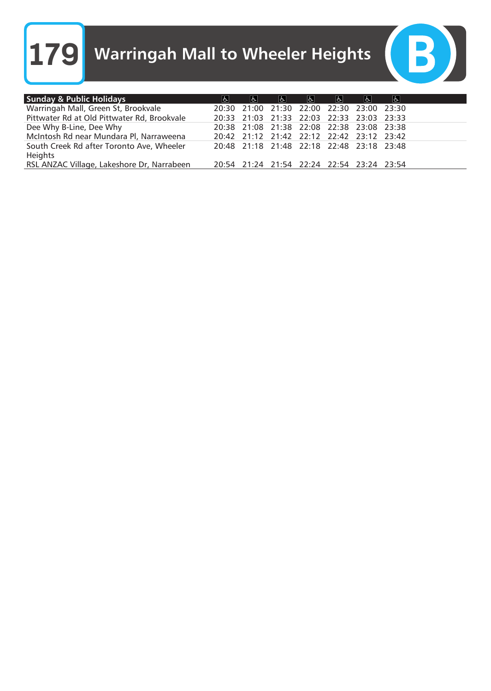**179** Warringah Mall to Wheeler Heights



| <b>Sunday &amp; Public Holidays</b>                         | နှု | e | e | e                                         | $ \mathbf{f} $ | ୍ବ | ა |
|-------------------------------------------------------------|-----|---|---|-------------------------------------------|----------------|----|---|
| Warringah Mall, Green St, Brookvale                         |     |   |   | 20:30 21:00 21:30 22:00 22:30 23:00 23:30 |                |    |   |
| Pittwater Rd at Old Pittwater Rd, Brookvale                 |     |   |   | 20:33 21:03 21:33 22:03 22:33 23:03 23:33 |                |    |   |
| Dee Why B-Line, Dee Why                                     |     |   |   | 20:38 21:08 21:38 22:08 22:38 23:08 23:38 |                |    |   |
| McIntosh Rd near Mundara Pl, Narraweena                     |     |   |   | 20:42 21:12 21:42 22:12 22:42 23:12 23:42 |                |    |   |
| South Creek Rd after Toronto Ave, Wheeler<br><b>Heights</b> |     |   |   | 20:48 21:18 21:48 22:18 22:48 23:18 23:48 |                |    |   |
| RSL ANZAC Village, Lakeshore Dr, Narrabeen                  |     |   |   | 20:54 21:24 21:54 22:24 22:54 23:24 23:54 |                |    |   |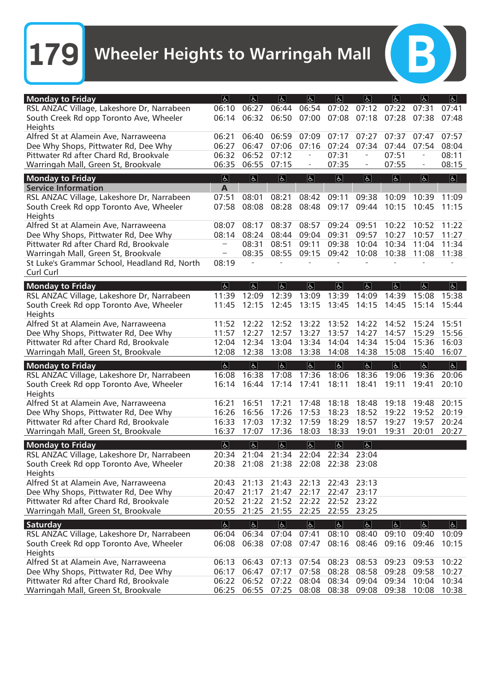$(B)$ 

| <b>Monday to Friday</b>                      | E                         | E              | $ \mathbf{F} $       | $\mathfrak{F}$                      | $\overline{6}$            | a              | $ \mathbf{f} $    | E              | $\overline{5}$ |
|----------------------------------------------|---------------------------|----------------|----------------------|-------------------------------------|---------------------------|----------------|-------------------|----------------|----------------|
|                                              |                           |                | 06:44                |                                     |                           |                |                   |                |                |
| RSL ANZAC Village, Lakeshore Dr, Narrabeen   | 06:10                     | 06:27          |                      | 06:54                               | 07:02                     | 07:12          | 07:22             | 07:31          | 07:41          |
| South Creek Rd opp Toronto Ave, Wheeler      | 06:14                     | 06:32          | 06:50                | 07:00                               | 07:08                     | 07:18          | 07:28             | 07:38          | 07:48          |
| Heights                                      |                           |                |                      |                                     |                           |                |                   |                |                |
| Alfred St at Alamein Ave, Narraweena         | 06:21                     | 06:40          | 06:59                | 07:09                               | 07:17                     | 07:27          | 07:37             | 07:47          | 07:57          |
| Dee Why Shops, Pittwater Rd, Dee Why         | 06:27                     | 06:47          | 07:06                | 07:16                               | 07:24                     | 07:34          | 07:44             | 07:54          | 08:04          |
| Pittwater Rd after Chard Rd, Brookvale       | 06:32                     | 06:52          | 07:12                | ÷,                                  | 07:31                     | $\blacksquare$ | 07:51             |                | 08:11          |
| Warringah Mall, Green St, Brookvale          | 06:35                     | 06:55          | 07:15                | $\overline{\phantom{a}}$            | 07:35                     |                | 07:55             |                | 08:15          |
|                                              |                           |                |                      |                                     |                           |                |                   |                |                |
| <b>Monday to Friday</b>                      | $\vert$                   | $\overline{d}$ | E                    | $\overline{d}$                      | $\overline{5}$            | $\overline{5}$ | $ \overline{f}$   | $\overline{d}$ | $\overline{5}$ |
| <b>Service Information</b>                   | A                         |                |                      |                                     |                           |                |                   |                |                |
| RSL ANZAC Village, Lakeshore Dr, Narrabeen   | 07:51                     | 08:01          | 08:21                | 08:42                               | 09:11                     | 09:38          | 10:09             | 10:39          | 11:09          |
| South Creek Rd opp Toronto Ave, Wheeler      | 07:58                     | 08:08          | 08:28                | 08:48                               | 09:17                     | 09:44          | 10:15             | 10:45          | 11:15          |
| Heights                                      |                           |                |                      |                                     |                           |                |                   |                |                |
| Alfred St at Alamein Ave, Narraweena         | 08:07                     | 08:17          | 08:37                | 08:57                               | 09:24                     | 09:51          | 10:22             | 10:52          | 11:22          |
| Dee Why Shops, Pittwater Rd, Dee Why         | 08:14                     | 08:24          | 08:44                | 09:04                               | 09:31                     | 09:57          | 10:27             | 10:57          | 11:27          |
| Pittwater Rd after Chard Rd, Brookvale       |                           | 08:31          | 08:51                | 09:11                               | 09:38                     | 10:04          | 10:34             | 11:04          | 11:34          |
| Warringah Mall, Green St, Brookvale          | $\sim$                    | 08:35          | 08:55                | 09:15                               | 09:42                     | 10:08          | 10:38             | 11:08          | 11:38          |
|                                              | 08:19                     |                |                      |                                     |                           |                |                   |                |                |
| St Luke's Grammar School, Headland Rd, North |                           |                |                      |                                     |                           |                |                   |                |                |
| Curl Curl                                    |                           |                |                      |                                     |                           |                |                   |                |                |
| <b>Monday to Friday</b>                      | E                         | $\boxed{d}$    | E                    | $\overline{a}$                      | $\overline{ \mathbf{t} }$ | <sub>6</sub>   | ર્હ $\parallel$   | હ્ન $\mid$     | $\boxed{d}$    |
| RSL ANZAC Village, Lakeshore Dr, Narrabeen   | 11:39                     | 12:09          | 12:39                | 13:09                               | 13:39                     | 14:09          | 14:39             | 15:08          | 15:38          |
| South Creek Rd opp Toronto Ave, Wheeler      | 11:45                     | 12:15          | 12:45                | 13:15                               | 13:45                     | 14:15          | 14:45             | 15:14          | 15:44          |
| Heights                                      |                           |                |                      |                                     |                           |                |                   |                |                |
| Alfred St at Alamein Ave, Narraweena         | 11:52                     | 12:22          | 12:52                | 13:22                               | 13:52                     | 14:22          | 14:52             | 15:24          | 15:51          |
|                                              |                           |                |                      |                                     |                           | 14:27          |                   |                |                |
| Dee Why Shops, Pittwater Rd, Dee Why         | 11:57                     | 12:27          | 12:57                | 13:27                               | 13:57                     |                | 14:57             | 15:29          | 15:56          |
| Pittwater Rd after Chard Rd, Brookvale       | 12:04                     | 12:34          | 13:04                | 13:34                               | 14:04                     | 14:34          | 15:04             | 15:36          | 16:03          |
| Warringah Mall, Green St, Brookvale          | 12:08                     | 12:38          | 13:08                | 13:38                               | 14:08                     | 14:38          | 15:08             | 15:40          | 16:07          |
| <b>Monday to Friday</b>                      | E                         | E              | $ \mathbf{f} $       | $\overline{a}$                      | $ \mathbf{P} $            | E              | $ \mathbf{F} $    | a              | E              |
| RSL ANZAC Village, Lakeshore Dr, Narrabeen   | 16:08                     | 16:38          | 17:08                | 17:36                               | 18:06                     | 18:36          | 19:06             | 19:36          | 20:06          |
| South Creek Rd opp Toronto Ave, Wheeler      | 16:14                     | 16:44          | 17:14                | 17:41                               | 18:11                     | 18:41          | 19:11             | 19:41          | 20:10          |
| Heights                                      |                           |                |                      |                                     |                           |                |                   |                |                |
| Alfred St at Alamein Ave, Narraweena         | 16:21                     | 16:51          | 17:21                | 17:48                               | 18:18                     | 18:48          | 19:18             | 19:48          | 20:15          |
|                                              |                           |                |                      |                                     |                           |                |                   |                |                |
| Dee Why Shops, Pittwater Rd, Dee Why         | 16:26                     | 16:56          | 17:26                | 17:53                               | 18:23                     | 18:52          | 19:22             | 19:52          | 20:19          |
| Pittwater Rd after Chard Rd, Brookvale       | 16:33                     | 17:03          | 17:32                | 17:59                               | 18:29                     | 18:57          | 19:27             | 19:57          | 20:24          |
| Warringah Mall, Green St, Brookvale          | 16:37                     | 17:07          | 17:36                | 18:03                               | 18:33                     | 19:01          | 19:31             | 20:01          | 20:27          |
| <b>Monday to Friday</b>                      | $\overline{ \mathbf{t} }$ | $\overline{d}$ | $\overline{5}$       | $\overline{\mathfrak{b}}$           | $\overline{5}$            | $\overline{d}$ |                   |                |                |
| RSL ANZAC Village, Lakeshore Dr, Narrabeen   | 20:34                     | 21:04          | 21:34                | 22:04                               | 22:34                     | 23:04          |                   |                |                |
| South Creek Rd opp Toronto Ave, Wheeler      |                           |                |                      | 20:38 21:08 21:38 22:08 22:38 23:08 |                           |                |                   |                |                |
| Heights                                      |                           |                |                      |                                     |                           |                |                   |                |                |
|                                              |                           |                |                      |                                     |                           |                |                   |                |                |
| Alfred St at Alamein Ave, Narraweena         | 20:43                     | 21:13          | 21:43                | 22:13                               | 22:43                     | 23:13          |                   |                |                |
| Dee Why Shops, Pittwater Rd, Dee Why         | 20:47                     | 21:17          | 21:47                | 22:17                               | 22:47                     | 23:17          |                   |                |                |
| Pittwater Rd after Chard Rd, Brookvale       | 20:52                     | 21:22          | 21:52                | 22:22                               | 22:52                     | 23:22          |                   |                |                |
| Warringah Mall, Green St, Brookvale          | 20:55                     |                | 21:25 21:55          | 22:25                               | 22:55                     | 23:25          |                   |                |                |
| Saturday                                     | $\overline{d}$            | $\overline{6}$ | $\boxed{\mathbf{P}}$ | $\overline{6}$                      | $\boxed{d}$               | $\overline{P}$ | $\boxed{P}$       | $\overline{6}$ | $\boxed{d}$    |
| RSL ANZAC Village, Lakeshore Dr, Narrabeen   | 06:04                     | 06:34          | 07:04                | 07:41                               | 08:10                     | 08:40          | 09:10             | 09:40          | 10:09          |
| South Creek Rd opp Toronto Ave, Wheeler      | 06:08                     | 06:38          | 07:08                | 07:47                               | 08:16                     | 08:46          | 09:16             | 09:46          | 10:15          |
|                                              |                           |                |                      |                                     |                           |                |                   |                |                |
| Heights                                      |                           |                |                      |                                     |                           |                |                   |                |                |
| Alfred St at Alamein Ave, Narraweena         | 06:13                     | 06:43          | 07:13                | 07:54                               | 08:23                     | 08:53          | 09:23             | 09:53          | 10:22          |
| Dee Why Shops, Pittwater Rd, Dee Why         | 06:17                     | 06:47          | 07:17                | 07:58                               | 08:28                     | 08:58          | 09:28             | 09:58          | 10:27          |
| Pittwater Rd after Chard Rd, Brookvale       | 06:22                     | 06:52          | 07:22                | 08:04                               | 08:34                     | 09:04          | 09:34             | 10:04          | 10:34          |
| Warringah Mall, Green St, Brookvale          | 06:25                     |                | 06:55 07:25          | 08:08                               | 08:38                     |                | 09:08 09:38 10:08 |                | 10:38          |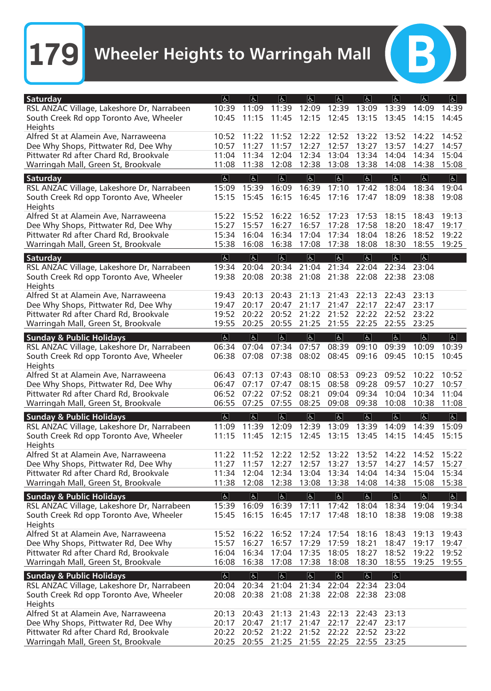| 11:09<br>11:39<br>12:39<br>13:09<br>RSL ANZAC Village, Lakeshore Dr, Narrabeen<br>10:39<br>12:09<br>13:39<br>14:09<br>14:39<br>South Creek Rd opp Toronto Ave, Wheeler<br>11:45<br>12:15<br>10:45<br>11:15<br>12:45<br>13:15<br>13:45<br>14:45<br>14:15<br>Heights<br>Alfred St at Alamein Ave, Narraweena<br>10:52<br>11:22<br>11:52<br>12:22<br>12:52<br>13:22<br>13:52<br>14:52<br>14:22<br>11:27<br>11:57<br>12:27<br>12:57<br>13:27<br>Dee Why Shops, Pittwater Rd, Dee Why<br>10:57<br>13:57<br>14:27<br>14:57<br>Pittwater Rd after Chard Rd, Brookvale<br>11:34<br>12:04<br>12:34<br>13:34<br>15:04<br>11:04<br>13:04<br>14:04<br>14:34<br>Warringah Mall, Green St, Brookvale<br>11:08<br>11:38<br>12:08<br>12:38<br>13:08<br>13:38<br>14:08<br>14:38<br>15:08<br>$\vert \overline{d} \vert$<br>$\overline{d}$<br>$\vert$<br>$\overline{d}$<br>$\overline{ \mathbf{t} }$<br>$\overline{6}$<br>$\overline{5}$<br>$\overline{6}$<br>$\overline{5}$<br>Saturday<br>15:39<br>16:39<br>16:09<br>17:10<br>17:42<br>18:04<br>18:34<br>RSL ANZAC Village, Lakeshore Dr, Narrabeen<br>15:09<br>19:04<br>15:45<br>16:15<br>16:45<br>17:16<br>17:47<br>South Creek Rd opp Toronto Ave, Wheeler<br>15:15<br>18:09<br>18:38<br>19:08<br>Heights<br>Alfred St at Alamein Ave, Narraweena<br>15:22<br>15:52<br>16:22<br>16:52<br>17:23<br>17:53<br>18:15<br>19:13<br>18:43<br>16:27<br>17:28<br>Dee Why Shops, Pittwater Rd, Dee Why<br>15:27<br>15:57<br>16:57<br>17:58<br>18:20<br>18:47<br>19:17<br>Pittwater Rd after Chard Rd, Brookvale<br>16:04<br>16:34<br>17:04<br>17:34<br>18:04<br>18:26<br>19:22<br>15:34<br>18:52<br>Warringah Mall, Green St, Brookvale<br>15:38<br>16:08<br>16:38<br>17:08<br>17:38<br>18:08<br>18:30<br>18:55<br>19:25<br> E <br> E <br> E <br> E <br> E <br> E <br> E <br> E <br>Saturday<br>20:04<br>20:34<br>21:04<br>21:34<br>22:04<br>RSL ANZAC Village, Lakeshore Dr, Narrabeen<br>19:34<br>22:34<br>23:04<br>21:08<br>South Creek Rd opp Toronto Ave, Wheeler<br>19:38<br>20:08<br>20:38<br>21:38<br>22:08<br>22:38<br>23:08<br>Heights<br>Alfred St at Alamein Ave, Narraweena<br>20:13<br>20:43<br>21:13<br>21:43<br>22:13<br>22:43<br>23:13<br>19:43<br>22:17<br>Dee Why Shops, Pittwater Rd, Dee Why<br>20:17<br>20:47<br>21:17<br>21:47<br>22:47<br>23:17<br>19:47<br>Pittwater Rd after Chard Rd, Brookvale<br>20:22<br>20:52<br>21:22<br>21:52<br>22:22<br>22:52<br>23:22<br>19:52<br>Warringah Mall, Green St, Brookvale<br>20:25<br>20:55<br>21:25<br>21:55<br>22:25<br>22:55<br>23:25<br>19:55<br>$\vert$<br>$\overline{d}$<br>$\vert \overline{d} \vert$<br>$\overline{d}$<br>$\vert \overline{d} \vert$<br>$\overline{b}$<br>$\vert \mathbf{F} \vert$<br>$\overline{d}$<br>$\boxed{6}$<br><b>Sunday &amp; Public Holidays</b><br>08:39<br>RSL ANZAC Village, Lakeshore Dr, Narrabeen<br>07:04<br>07:34<br>07:57<br>09:10<br>09:39<br>10:09<br>06:34<br>10:39<br>07:08<br>07:38<br>08:02<br>08:45<br>09:45<br>South Creek Rd opp Toronto Ave, Wheeler<br>06:38<br>09:16<br>10:15<br>10:45<br>Heights<br>Alfred St at Alamein Ave, Narraweena<br>08:10<br>09:23<br>10:22<br>10:52<br>06:43<br>07:13<br>07:43<br>08:53<br>09:52<br>08:15<br>08:58<br>09:28<br>09:57<br>10:27<br>10:57<br>Dee Why Shops, Pittwater Rd, Dee Why<br>06:47<br>07:17<br>07:47<br>Pittwater Rd after Chard Rd, Brookvale<br>06:52<br>07:22<br>07:52<br>08:21<br>09:04<br>09:34<br>10:04<br>10:34<br>11:04<br>07:55<br>Warringah Mall, Green St, Brookvale<br>06:55<br>07:25<br>08:25<br>09:08<br>09:38<br>10:08<br>10:38<br>11:08<br>  <b>b</b>  <br>$\vert \mathbf{F} \vert$<br>$\overline{d}$<br>$\overline{5}$<br> E <br> E <br>$\overline{d}$<br>$ \mathbf{F} $<br>$\boxed{6}$<br><b>Sunday &amp; Public Holidays</b><br>RSL ANZAC Village, Lakeshore Dr, Narrabeen<br>11:39<br>12:39<br>13:09<br>13:39<br>11:09<br>12:09<br>14:09<br>14:39<br>15:09<br>12:15<br>South Creek Rd opp Toronto Ave, Wheeler<br>11:15<br>11:45<br>12:45<br>13:15<br>13:45<br>14:15<br>14:45<br>15:15<br>Heights<br>Alfred St at Alamein Ave, Narraweena<br>11:22<br>11:52<br>12:22<br>12:52<br>13:52<br>14:22<br>14:52<br>15:22<br>13:22<br>Dee Why Shops, Pittwater Rd, Dee Why<br>12:27<br>12:57<br>13:27<br>13:57<br>14:27<br>14:57<br>15:27<br>11:27<br>11:57<br>Pittwater Rd after Chard Rd, Brookvale<br>11:34<br>12:04<br>12:34<br>13:04<br>13:34<br>14:04<br>14:34<br>15:04<br>15:34<br>12:38<br>Warringah Mall, Green St, Brookvale<br>11:38<br>12:08<br>13:08<br>13:38<br>14:08<br>14:38<br>15:08<br>15:38<br>$\overline{d}$<br>$\overline{\mathbb{P}}$<br> E <br>$\boxed{6}$<br>$\vert$<br> E <br>$\overline{\mathbb{R}}$<br>$\overline{ \mathbf{f}  }$<br><b>Sunday &amp; Public Holidays</b><br>$\boxed{6}$<br>RSL ANZAC Village, Lakeshore Dr, Narrabeen<br>15:39<br>16:09<br>16:39<br>17:11<br>17:42<br>18:04<br>18:34<br>19:04<br>19:34<br>South Creek Rd opp Toronto Ave, Wheeler<br>15:45<br>16:15<br>16:45<br>17:17<br>17:48<br>18:10<br>18:38<br>19:38<br>19:08<br>Heights<br>Alfred St at Alamein Ave, Narraweena<br>16:52<br>19:43<br>15:52<br>16:22<br>17:24<br>17:54<br>18:16<br>18:43<br>19:13<br>Dee Why Shops, Pittwater Rd, Dee Why<br>15:57<br>16:27<br>16:57<br>17:29<br>17:59<br>18:21<br>18:47<br>19:17<br>19:47<br>Pittwater Rd after Chard Rd, Brookvale<br>16:04<br>16:34<br>17:04<br>17:35<br>18:05<br>18:27<br>18:52<br>19:22<br>19:52<br>Warringah Mall, Green St, Brookvale<br>16:08<br>16:38<br>17:08<br>17:38<br>18:08<br>18:30<br>18:55<br>19:25<br>19:55<br>$\overline{6}$<br>$\overline{6}$<br>$\overline{P}$<br>$\overline{f}$<br>$\boxed{\mathbf{r}}$<br>$\boxed{d}$<br>$\overline{P}$<br><b>Sunday &amp; Public Holidays</b><br>RSL ANZAC Village, Lakeshore Dr, Narrabeen<br>20:34 21:04 21:34 22:04 22:34<br>23:04<br>20:04<br>South Creek Rd opp Toronto Ave, Wheeler<br>20:38 21:08<br>21:38 22:08<br>20:08<br>22:38 23:08<br>Heights<br>Alfred St at Alamein Ave, Narraweena<br>20:13<br>20:43<br>21:13<br>21:43<br>22:13<br>22:43<br>23:13<br>Dee Why Shops, Pittwater Rd, Dee Why<br>21:17<br>22:17<br>22:47<br>23:17<br>20:17<br>20:47<br>21:47<br>Pittwater Rd after Chard Rd, Brookvale<br>22:52<br>20:22<br>20:52<br>21:22<br>21:52<br>22:22<br>23:22<br>20:25<br>20:55 21:25 21:55 22:25 | Saturday                            | $ \mathbf{f} $ | $\overline{a}$ | E | E | $\mathbf{F}$ | $\mathfrak{F}$ | $\overline{d}$ | $\mathfrak{F}$ | E |
|---------------------------------------------------------------------------------------------------------------------------------------------------------------------------------------------------------------------------------------------------------------------------------------------------------------------------------------------------------------------------------------------------------------------------------------------------------------------------------------------------------------------------------------------------------------------------------------------------------------------------------------------------------------------------------------------------------------------------------------------------------------------------------------------------------------------------------------------------------------------------------------------------------------------------------------------------------------------------------------------------------------------------------------------------------------------------------------------------------------------------------------------------------------------------------------------------------------------------------------------------------------------------------------------------------------------------------------------------------------------------------------------------------------------------------------------------------------------------------------------------------------------------------------------------------------------------------------------------------------------------------------------------------------------------------------------------------------------------------------------------------------------------------------------------------------------------------------------------------------------------------------------------------------------------------------------------------------------------------------------------------------------------------------------------------------------------------------------------------------------------------------------------------------------------------------------------------------------------------------------------------------------------------------------------------------------------------------------------------------------------------------------------------------------------------------------------------------------------------------------------------------------------------------------------------------------------------------------------------------------------------------------------------------------------------------------------------------------------------------------------------------------------------------------------------------------------------------------------------------------------------------------------------------------------------------------------------------------------------------------------------------------------------------------------------------------------------------------------------------------------------------------------------------------------------------------------------------------------------------------------------------------------------------------------------------------------------------------------------------------------------------------------------------------------------------------------------------------------------------------------------------------------------------------------------------------------------------------------------------------------------------------------------------------------------------------------------------------------------------------------------------------------------------------------------------------------------------------------------------------------------------------------------------------------------------------------------------------------------------------------------------------------------------------------------------------------------------------------------------------------------------------------------------------------------------------------------------------------------------------------------------------------------------------------------------------------------------------------------------------------------------------------------------------------------------------------------------------------------------------------------------------------------------------------------------------------------------------------------------------------------------------------------------------------------------------------------------------------------------------------------------------------------------------------------------------------------------------------------------------------------------------------------------------------------------------------------------------------------------------------------------------------------------------------------------------------------------------------------------------------------------------------------------------------------------------------------------------------------------------------------------------------------------------------------------------------------------------------------------------------------------------------------------------------------------------------------------------------------------------------------------------------------------------------------------------------------------------------------------------------------------------------------------------------------------------------------------------------------------------------------------------------------------------------------------------------------------------------------------------------------------------------------------------------------------------------------------------------------------------------------------------------------------------------------------------------------------------------------------------------------------------------------------------------------------------------------------------------------------------------------|-------------------------------------|----------------|----------------|---|---|--------------|----------------|----------------|----------------|---|
|                                                                                                                                                                                                                                                                                                                                                                                                                                                                                                                                                                                                                                                                                                                                                                                                                                                                                                                                                                                                                                                                                                                                                                                                                                                                                                                                                                                                                                                                                                                                                                                                                                                                                                                                                                                                                                                                                                                                                                                                                                                                                                                                                                                                                                                                                                                                                                                                                                                                                                                                                                                                                                                                                                                                                                                                                                                                                                                                                                                                                                                                                                                                                                                                                                                                                                                                                                                                                                                                                                                                                                                                                                                                                                                                                                                                                                                                                                                                                                                                                                                                                                                                                                                                                                                                                                                                                                                                                                                                                                                                                                                                                                                                                                                                                                                                                                                                                                                                                                                                                                                                                                                                                                                                                                                                                                                                                                                                                                                                                                                                                                                                                                                                                                                                                                                                                                                                                                                                                                                                                                                                                                                                                                                                                                                         |                                     |                |                |   |   |              |                |                |                |   |
|                                                                                                                                                                                                                                                                                                                                                                                                                                                                                                                                                                                                                                                                                                                                                                                                                                                                                                                                                                                                                                                                                                                                                                                                                                                                                                                                                                                                                                                                                                                                                                                                                                                                                                                                                                                                                                                                                                                                                                                                                                                                                                                                                                                                                                                                                                                                                                                                                                                                                                                                                                                                                                                                                                                                                                                                                                                                                                                                                                                                                                                                                                                                                                                                                                                                                                                                                                                                                                                                                                                                                                                                                                                                                                                                                                                                                                                                                                                                                                                                                                                                                                                                                                                                                                                                                                                                                                                                                                                                                                                                                                                                                                                                                                                                                                                                                                                                                                                                                                                                                                                                                                                                                                                                                                                                                                                                                                                                                                                                                                                                                                                                                                                                                                                                                                                                                                                                                                                                                                                                                                                                                                                                                                                                                                                         |                                     |                |                |   |   |              |                |                |                |   |
|                                                                                                                                                                                                                                                                                                                                                                                                                                                                                                                                                                                                                                                                                                                                                                                                                                                                                                                                                                                                                                                                                                                                                                                                                                                                                                                                                                                                                                                                                                                                                                                                                                                                                                                                                                                                                                                                                                                                                                                                                                                                                                                                                                                                                                                                                                                                                                                                                                                                                                                                                                                                                                                                                                                                                                                                                                                                                                                                                                                                                                                                                                                                                                                                                                                                                                                                                                                                                                                                                                                                                                                                                                                                                                                                                                                                                                                                                                                                                                                                                                                                                                                                                                                                                                                                                                                                                                                                                                                                                                                                                                                                                                                                                                                                                                                                                                                                                                                                                                                                                                                                                                                                                                                                                                                                                                                                                                                                                                                                                                                                                                                                                                                                                                                                                                                                                                                                                                                                                                                                                                                                                                                                                                                                                                                         |                                     |                |                |   |   |              |                |                |                |   |
|                                                                                                                                                                                                                                                                                                                                                                                                                                                                                                                                                                                                                                                                                                                                                                                                                                                                                                                                                                                                                                                                                                                                                                                                                                                                                                                                                                                                                                                                                                                                                                                                                                                                                                                                                                                                                                                                                                                                                                                                                                                                                                                                                                                                                                                                                                                                                                                                                                                                                                                                                                                                                                                                                                                                                                                                                                                                                                                                                                                                                                                                                                                                                                                                                                                                                                                                                                                                                                                                                                                                                                                                                                                                                                                                                                                                                                                                                                                                                                                                                                                                                                                                                                                                                                                                                                                                                                                                                                                                                                                                                                                                                                                                                                                                                                                                                                                                                                                                                                                                                                                                                                                                                                                                                                                                                                                                                                                                                                                                                                                                                                                                                                                                                                                                                                                                                                                                                                                                                                                                                                                                                                                                                                                                                                                         |                                     |                |                |   |   |              |                |                |                |   |
|                                                                                                                                                                                                                                                                                                                                                                                                                                                                                                                                                                                                                                                                                                                                                                                                                                                                                                                                                                                                                                                                                                                                                                                                                                                                                                                                                                                                                                                                                                                                                                                                                                                                                                                                                                                                                                                                                                                                                                                                                                                                                                                                                                                                                                                                                                                                                                                                                                                                                                                                                                                                                                                                                                                                                                                                                                                                                                                                                                                                                                                                                                                                                                                                                                                                                                                                                                                                                                                                                                                                                                                                                                                                                                                                                                                                                                                                                                                                                                                                                                                                                                                                                                                                                                                                                                                                                                                                                                                                                                                                                                                                                                                                                                                                                                                                                                                                                                                                                                                                                                                                                                                                                                                                                                                                                                                                                                                                                                                                                                                                                                                                                                                                                                                                                                                                                                                                                                                                                                                                                                                                                                                                                                                                                                                         |                                     |                |                |   |   |              |                |                |                |   |
|                                                                                                                                                                                                                                                                                                                                                                                                                                                                                                                                                                                                                                                                                                                                                                                                                                                                                                                                                                                                                                                                                                                                                                                                                                                                                                                                                                                                                                                                                                                                                                                                                                                                                                                                                                                                                                                                                                                                                                                                                                                                                                                                                                                                                                                                                                                                                                                                                                                                                                                                                                                                                                                                                                                                                                                                                                                                                                                                                                                                                                                                                                                                                                                                                                                                                                                                                                                                                                                                                                                                                                                                                                                                                                                                                                                                                                                                                                                                                                                                                                                                                                                                                                                                                                                                                                                                                                                                                                                                                                                                                                                                                                                                                                                                                                                                                                                                                                                                                                                                                                                                                                                                                                                                                                                                                                                                                                                                                                                                                                                                                                                                                                                                                                                                                                                                                                                                                                                                                                                                                                                                                                                                                                                                                                                         |                                     |                |                |   |   |              |                |                |                |   |
|                                                                                                                                                                                                                                                                                                                                                                                                                                                                                                                                                                                                                                                                                                                                                                                                                                                                                                                                                                                                                                                                                                                                                                                                                                                                                                                                                                                                                                                                                                                                                                                                                                                                                                                                                                                                                                                                                                                                                                                                                                                                                                                                                                                                                                                                                                                                                                                                                                                                                                                                                                                                                                                                                                                                                                                                                                                                                                                                                                                                                                                                                                                                                                                                                                                                                                                                                                                                                                                                                                                                                                                                                                                                                                                                                                                                                                                                                                                                                                                                                                                                                                                                                                                                                                                                                                                                                                                                                                                                                                                                                                                                                                                                                                                                                                                                                                                                                                                                                                                                                                                                                                                                                                                                                                                                                                                                                                                                                                                                                                                                                                                                                                                                                                                                                                                                                                                                                                                                                                                                                                                                                                                                                                                                                                                         |                                     |                |                |   |   |              |                |                |                |   |
|                                                                                                                                                                                                                                                                                                                                                                                                                                                                                                                                                                                                                                                                                                                                                                                                                                                                                                                                                                                                                                                                                                                                                                                                                                                                                                                                                                                                                                                                                                                                                                                                                                                                                                                                                                                                                                                                                                                                                                                                                                                                                                                                                                                                                                                                                                                                                                                                                                                                                                                                                                                                                                                                                                                                                                                                                                                                                                                                                                                                                                                                                                                                                                                                                                                                                                                                                                                                                                                                                                                                                                                                                                                                                                                                                                                                                                                                                                                                                                                                                                                                                                                                                                                                                                                                                                                                                                                                                                                                                                                                                                                                                                                                                                                                                                                                                                                                                                                                                                                                                                                                                                                                                                                                                                                                                                                                                                                                                                                                                                                                                                                                                                                                                                                                                                                                                                                                                                                                                                                                                                                                                                                                                                                                                                                         |                                     |                |                |   |   |              |                |                |                |   |
|                                                                                                                                                                                                                                                                                                                                                                                                                                                                                                                                                                                                                                                                                                                                                                                                                                                                                                                                                                                                                                                                                                                                                                                                                                                                                                                                                                                                                                                                                                                                                                                                                                                                                                                                                                                                                                                                                                                                                                                                                                                                                                                                                                                                                                                                                                                                                                                                                                                                                                                                                                                                                                                                                                                                                                                                                                                                                                                                                                                                                                                                                                                                                                                                                                                                                                                                                                                                                                                                                                                                                                                                                                                                                                                                                                                                                                                                                                                                                                                                                                                                                                                                                                                                                                                                                                                                                                                                                                                                                                                                                                                                                                                                                                                                                                                                                                                                                                                                                                                                                                                                                                                                                                                                                                                                                                                                                                                                                                                                                                                                                                                                                                                                                                                                                                                                                                                                                                                                                                                                                                                                                                                                                                                                                                                         |                                     |                |                |   |   |              |                |                |                |   |
|                                                                                                                                                                                                                                                                                                                                                                                                                                                                                                                                                                                                                                                                                                                                                                                                                                                                                                                                                                                                                                                                                                                                                                                                                                                                                                                                                                                                                                                                                                                                                                                                                                                                                                                                                                                                                                                                                                                                                                                                                                                                                                                                                                                                                                                                                                                                                                                                                                                                                                                                                                                                                                                                                                                                                                                                                                                                                                                                                                                                                                                                                                                                                                                                                                                                                                                                                                                                                                                                                                                                                                                                                                                                                                                                                                                                                                                                                                                                                                                                                                                                                                                                                                                                                                                                                                                                                                                                                                                                                                                                                                                                                                                                                                                                                                                                                                                                                                                                                                                                                                                                                                                                                                                                                                                                                                                                                                                                                                                                                                                                                                                                                                                                                                                                                                                                                                                                                                                                                                                                                                                                                                                                                                                                                                                         |                                     |                |                |   |   |              |                |                |                |   |
|                                                                                                                                                                                                                                                                                                                                                                                                                                                                                                                                                                                                                                                                                                                                                                                                                                                                                                                                                                                                                                                                                                                                                                                                                                                                                                                                                                                                                                                                                                                                                                                                                                                                                                                                                                                                                                                                                                                                                                                                                                                                                                                                                                                                                                                                                                                                                                                                                                                                                                                                                                                                                                                                                                                                                                                                                                                                                                                                                                                                                                                                                                                                                                                                                                                                                                                                                                                                                                                                                                                                                                                                                                                                                                                                                                                                                                                                                                                                                                                                                                                                                                                                                                                                                                                                                                                                                                                                                                                                                                                                                                                                                                                                                                                                                                                                                                                                                                                                                                                                                                                                                                                                                                                                                                                                                                                                                                                                                                                                                                                                                                                                                                                                                                                                                                                                                                                                                                                                                                                                                                                                                                                                                                                                                                                         |                                     |                |                |   |   |              |                |                |                |   |
|                                                                                                                                                                                                                                                                                                                                                                                                                                                                                                                                                                                                                                                                                                                                                                                                                                                                                                                                                                                                                                                                                                                                                                                                                                                                                                                                                                                                                                                                                                                                                                                                                                                                                                                                                                                                                                                                                                                                                                                                                                                                                                                                                                                                                                                                                                                                                                                                                                                                                                                                                                                                                                                                                                                                                                                                                                                                                                                                                                                                                                                                                                                                                                                                                                                                                                                                                                                                                                                                                                                                                                                                                                                                                                                                                                                                                                                                                                                                                                                                                                                                                                                                                                                                                                                                                                                                                                                                                                                                                                                                                                                                                                                                                                                                                                                                                                                                                                                                                                                                                                                                                                                                                                                                                                                                                                                                                                                                                                                                                                                                                                                                                                                                                                                                                                                                                                                                                                                                                                                                                                                                                                                                                                                                                                                         |                                     |                |                |   |   |              |                |                |                |   |
|                                                                                                                                                                                                                                                                                                                                                                                                                                                                                                                                                                                                                                                                                                                                                                                                                                                                                                                                                                                                                                                                                                                                                                                                                                                                                                                                                                                                                                                                                                                                                                                                                                                                                                                                                                                                                                                                                                                                                                                                                                                                                                                                                                                                                                                                                                                                                                                                                                                                                                                                                                                                                                                                                                                                                                                                                                                                                                                                                                                                                                                                                                                                                                                                                                                                                                                                                                                                                                                                                                                                                                                                                                                                                                                                                                                                                                                                                                                                                                                                                                                                                                                                                                                                                                                                                                                                                                                                                                                                                                                                                                                                                                                                                                                                                                                                                                                                                                                                                                                                                                                                                                                                                                                                                                                                                                                                                                                                                                                                                                                                                                                                                                                                                                                                                                                                                                                                                                                                                                                                                                                                                                                                                                                                                                                         |                                     |                |                |   |   |              |                |                |                |   |
|                                                                                                                                                                                                                                                                                                                                                                                                                                                                                                                                                                                                                                                                                                                                                                                                                                                                                                                                                                                                                                                                                                                                                                                                                                                                                                                                                                                                                                                                                                                                                                                                                                                                                                                                                                                                                                                                                                                                                                                                                                                                                                                                                                                                                                                                                                                                                                                                                                                                                                                                                                                                                                                                                                                                                                                                                                                                                                                                                                                                                                                                                                                                                                                                                                                                                                                                                                                                                                                                                                                                                                                                                                                                                                                                                                                                                                                                                                                                                                                                                                                                                                                                                                                                                                                                                                                                                                                                                                                                                                                                                                                                                                                                                                                                                                                                                                                                                                                                                                                                                                                                                                                                                                                                                                                                                                                                                                                                                                                                                                                                                                                                                                                                                                                                                                                                                                                                                                                                                                                                                                                                                                                                                                                                                                                         |                                     |                |                |   |   |              |                |                |                |   |
|                                                                                                                                                                                                                                                                                                                                                                                                                                                                                                                                                                                                                                                                                                                                                                                                                                                                                                                                                                                                                                                                                                                                                                                                                                                                                                                                                                                                                                                                                                                                                                                                                                                                                                                                                                                                                                                                                                                                                                                                                                                                                                                                                                                                                                                                                                                                                                                                                                                                                                                                                                                                                                                                                                                                                                                                                                                                                                                                                                                                                                                                                                                                                                                                                                                                                                                                                                                                                                                                                                                                                                                                                                                                                                                                                                                                                                                                                                                                                                                                                                                                                                                                                                                                                                                                                                                                                                                                                                                                                                                                                                                                                                                                                                                                                                                                                                                                                                                                                                                                                                                                                                                                                                                                                                                                                                                                                                                                                                                                                                                                                                                                                                                                                                                                                                                                                                                                                                                                                                                                                                                                                                                                                                                                                                                         |                                     |                |                |   |   |              |                |                |                |   |
|                                                                                                                                                                                                                                                                                                                                                                                                                                                                                                                                                                                                                                                                                                                                                                                                                                                                                                                                                                                                                                                                                                                                                                                                                                                                                                                                                                                                                                                                                                                                                                                                                                                                                                                                                                                                                                                                                                                                                                                                                                                                                                                                                                                                                                                                                                                                                                                                                                                                                                                                                                                                                                                                                                                                                                                                                                                                                                                                                                                                                                                                                                                                                                                                                                                                                                                                                                                                                                                                                                                                                                                                                                                                                                                                                                                                                                                                                                                                                                                                                                                                                                                                                                                                                                                                                                                                                                                                                                                                                                                                                                                                                                                                                                                                                                                                                                                                                                                                                                                                                                                                                                                                                                                                                                                                                                                                                                                                                                                                                                                                                                                                                                                                                                                                                                                                                                                                                                                                                                                                                                                                                                                                                                                                                                                         |                                     |                |                |   |   |              |                |                |                |   |
|                                                                                                                                                                                                                                                                                                                                                                                                                                                                                                                                                                                                                                                                                                                                                                                                                                                                                                                                                                                                                                                                                                                                                                                                                                                                                                                                                                                                                                                                                                                                                                                                                                                                                                                                                                                                                                                                                                                                                                                                                                                                                                                                                                                                                                                                                                                                                                                                                                                                                                                                                                                                                                                                                                                                                                                                                                                                                                                                                                                                                                                                                                                                                                                                                                                                                                                                                                                                                                                                                                                                                                                                                                                                                                                                                                                                                                                                                                                                                                                                                                                                                                                                                                                                                                                                                                                                                                                                                                                                                                                                                                                                                                                                                                                                                                                                                                                                                                                                                                                                                                                                                                                                                                                                                                                                                                                                                                                                                                                                                                                                                                                                                                                                                                                                                                                                                                                                                                                                                                                                                                                                                                                                                                                                                                                         |                                     |                |                |   |   |              |                |                |                |   |
|                                                                                                                                                                                                                                                                                                                                                                                                                                                                                                                                                                                                                                                                                                                                                                                                                                                                                                                                                                                                                                                                                                                                                                                                                                                                                                                                                                                                                                                                                                                                                                                                                                                                                                                                                                                                                                                                                                                                                                                                                                                                                                                                                                                                                                                                                                                                                                                                                                                                                                                                                                                                                                                                                                                                                                                                                                                                                                                                                                                                                                                                                                                                                                                                                                                                                                                                                                                                                                                                                                                                                                                                                                                                                                                                                                                                                                                                                                                                                                                                                                                                                                                                                                                                                                                                                                                                                                                                                                                                                                                                                                                                                                                                                                                                                                                                                                                                                                                                                                                                                                                                                                                                                                                                                                                                                                                                                                                                                                                                                                                                                                                                                                                                                                                                                                                                                                                                                                                                                                                                                                                                                                                                                                                                                                                         |                                     |                |                |   |   |              |                |                |                |   |
|                                                                                                                                                                                                                                                                                                                                                                                                                                                                                                                                                                                                                                                                                                                                                                                                                                                                                                                                                                                                                                                                                                                                                                                                                                                                                                                                                                                                                                                                                                                                                                                                                                                                                                                                                                                                                                                                                                                                                                                                                                                                                                                                                                                                                                                                                                                                                                                                                                                                                                                                                                                                                                                                                                                                                                                                                                                                                                                                                                                                                                                                                                                                                                                                                                                                                                                                                                                                                                                                                                                                                                                                                                                                                                                                                                                                                                                                                                                                                                                                                                                                                                                                                                                                                                                                                                                                                                                                                                                                                                                                                                                                                                                                                                                                                                                                                                                                                                                                                                                                                                                                                                                                                                                                                                                                                                                                                                                                                                                                                                                                                                                                                                                                                                                                                                                                                                                                                                                                                                                                                                                                                                                                                                                                                                                         |                                     |                |                |   |   |              |                |                |                |   |
|                                                                                                                                                                                                                                                                                                                                                                                                                                                                                                                                                                                                                                                                                                                                                                                                                                                                                                                                                                                                                                                                                                                                                                                                                                                                                                                                                                                                                                                                                                                                                                                                                                                                                                                                                                                                                                                                                                                                                                                                                                                                                                                                                                                                                                                                                                                                                                                                                                                                                                                                                                                                                                                                                                                                                                                                                                                                                                                                                                                                                                                                                                                                                                                                                                                                                                                                                                                                                                                                                                                                                                                                                                                                                                                                                                                                                                                                                                                                                                                                                                                                                                                                                                                                                                                                                                                                                                                                                                                                                                                                                                                                                                                                                                                                                                                                                                                                                                                                                                                                                                                                                                                                                                                                                                                                                                                                                                                                                                                                                                                                                                                                                                                                                                                                                                                                                                                                                                                                                                                                                                                                                                                                                                                                                                                         |                                     |                |                |   |   |              |                |                |                |   |
|                                                                                                                                                                                                                                                                                                                                                                                                                                                                                                                                                                                                                                                                                                                                                                                                                                                                                                                                                                                                                                                                                                                                                                                                                                                                                                                                                                                                                                                                                                                                                                                                                                                                                                                                                                                                                                                                                                                                                                                                                                                                                                                                                                                                                                                                                                                                                                                                                                                                                                                                                                                                                                                                                                                                                                                                                                                                                                                                                                                                                                                                                                                                                                                                                                                                                                                                                                                                                                                                                                                                                                                                                                                                                                                                                                                                                                                                                                                                                                                                                                                                                                                                                                                                                                                                                                                                                                                                                                                                                                                                                                                                                                                                                                                                                                                                                                                                                                                                                                                                                                                                                                                                                                                                                                                                                                                                                                                                                                                                                                                                                                                                                                                                                                                                                                                                                                                                                                                                                                                                                                                                                                                                                                                                                                                         |                                     |                |                |   |   |              |                |                |                |   |
|                                                                                                                                                                                                                                                                                                                                                                                                                                                                                                                                                                                                                                                                                                                                                                                                                                                                                                                                                                                                                                                                                                                                                                                                                                                                                                                                                                                                                                                                                                                                                                                                                                                                                                                                                                                                                                                                                                                                                                                                                                                                                                                                                                                                                                                                                                                                                                                                                                                                                                                                                                                                                                                                                                                                                                                                                                                                                                                                                                                                                                                                                                                                                                                                                                                                                                                                                                                                                                                                                                                                                                                                                                                                                                                                                                                                                                                                                                                                                                                                                                                                                                                                                                                                                                                                                                                                                                                                                                                                                                                                                                                                                                                                                                                                                                                                                                                                                                                                                                                                                                                                                                                                                                                                                                                                                                                                                                                                                                                                                                                                                                                                                                                                                                                                                                                                                                                                                                                                                                                                                                                                                                                                                                                                                                                         |                                     |                |                |   |   |              |                |                |                |   |
|                                                                                                                                                                                                                                                                                                                                                                                                                                                                                                                                                                                                                                                                                                                                                                                                                                                                                                                                                                                                                                                                                                                                                                                                                                                                                                                                                                                                                                                                                                                                                                                                                                                                                                                                                                                                                                                                                                                                                                                                                                                                                                                                                                                                                                                                                                                                                                                                                                                                                                                                                                                                                                                                                                                                                                                                                                                                                                                                                                                                                                                                                                                                                                                                                                                                                                                                                                                                                                                                                                                                                                                                                                                                                                                                                                                                                                                                                                                                                                                                                                                                                                                                                                                                                                                                                                                                                                                                                                                                                                                                                                                                                                                                                                                                                                                                                                                                                                                                                                                                                                                                                                                                                                                                                                                                                                                                                                                                                                                                                                                                                                                                                                                                                                                                                                                                                                                                                                                                                                                                                                                                                                                                                                                                                                                         |                                     |                |                |   |   |              |                |                |                |   |
|                                                                                                                                                                                                                                                                                                                                                                                                                                                                                                                                                                                                                                                                                                                                                                                                                                                                                                                                                                                                                                                                                                                                                                                                                                                                                                                                                                                                                                                                                                                                                                                                                                                                                                                                                                                                                                                                                                                                                                                                                                                                                                                                                                                                                                                                                                                                                                                                                                                                                                                                                                                                                                                                                                                                                                                                                                                                                                                                                                                                                                                                                                                                                                                                                                                                                                                                                                                                                                                                                                                                                                                                                                                                                                                                                                                                                                                                                                                                                                                                                                                                                                                                                                                                                                                                                                                                                                                                                                                                                                                                                                                                                                                                                                                                                                                                                                                                                                                                                                                                                                                                                                                                                                                                                                                                                                                                                                                                                                                                                                                                                                                                                                                                                                                                                                                                                                                                                                                                                                                                                                                                                                                                                                                                                                                         |                                     |                |                |   |   |              |                |                |                |   |
|                                                                                                                                                                                                                                                                                                                                                                                                                                                                                                                                                                                                                                                                                                                                                                                                                                                                                                                                                                                                                                                                                                                                                                                                                                                                                                                                                                                                                                                                                                                                                                                                                                                                                                                                                                                                                                                                                                                                                                                                                                                                                                                                                                                                                                                                                                                                                                                                                                                                                                                                                                                                                                                                                                                                                                                                                                                                                                                                                                                                                                                                                                                                                                                                                                                                                                                                                                                                                                                                                                                                                                                                                                                                                                                                                                                                                                                                                                                                                                                                                                                                                                                                                                                                                                                                                                                                                                                                                                                                                                                                                                                                                                                                                                                                                                                                                                                                                                                                                                                                                                                                                                                                                                                                                                                                                                                                                                                                                                                                                                                                                                                                                                                                                                                                                                                                                                                                                                                                                                                                                                                                                                                                                                                                                                                         |                                     |                |                |   |   |              |                |                |                |   |
|                                                                                                                                                                                                                                                                                                                                                                                                                                                                                                                                                                                                                                                                                                                                                                                                                                                                                                                                                                                                                                                                                                                                                                                                                                                                                                                                                                                                                                                                                                                                                                                                                                                                                                                                                                                                                                                                                                                                                                                                                                                                                                                                                                                                                                                                                                                                                                                                                                                                                                                                                                                                                                                                                                                                                                                                                                                                                                                                                                                                                                                                                                                                                                                                                                                                                                                                                                                                                                                                                                                                                                                                                                                                                                                                                                                                                                                                                                                                                                                                                                                                                                                                                                                                                                                                                                                                                                                                                                                                                                                                                                                                                                                                                                                                                                                                                                                                                                                                                                                                                                                                                                                                                                                                                                                                                                                                                                                                                                                                                                                                                                                                                                                                                                                                                                                                                                                                                                                                                                                                                                                                                                                                                                                                                                                         |                                     |                |                |   |   |              |                |                |                |   |
|                                                                                                                                                                                                                                                                                                                                                                                                                                                                                                                                                                                                                                                                                                                                                                                                                                                                                                                                                                                                                                                                                                                                                                                                                                                                                                                                                                                                                                                                                                                                                                                                                                                                                                                                                                                                                                                                                                                                                                                                                                                                                                                                                                                                                                                                                                                                                                                                                                                                                                                                                                                                                                                                                                                                                                                                                                                                                                                                                                                                                                                                                                                                                                                                                                                                                                                                                                                                                                                                                                                                                                                                                                                                                                                                                                                                                                                                                                                                                                                                                                                                                                                                                                                                                                                                                                                                                                                                                                                                                                                                                                                                                                                                                                                                                                                                                                                                                                                                                                                                                                                                                                                                                                                                                                                                                                                                                                                                                                                                                                                                                                                                                                                                                                                                                                                                                                                                                                                                                                                                                                                                                                                                                                                                                                                         |                                     |                |                |   |   |              |                |                |                |   |
|                                                                                                                                                                                                                                                                                                                                                                                                                                                                                                                                                                                                                                                                                                                                                                                                                                                                                                                                                                                                                                                                                                                                                                                                                                                                                                                                                                                                                                                                                                                                                                                                                                                                                                                                                                                                                                                                                                                                                                                                                                                                                                                                                                                                                                                                                                                                                                                                                                                                                                                                                                                                                                                                                                                                                                                                                                                                                                                                                                                                                                                                                                                                                                                                                                                                                                                                                                                                                                                                                                                                                                                                                                                                                                                                                                                                                                                                                                                                                                                                                                                                                                                                                                                                                                                                                                                                                                                                                                                                                                                                                                                                                                                                                                                                                                                                                                                                                                                                                                                                                                                                                                                                                                                                                                                                                                                                                                                                                                                                                                                                                                                                                                                                                                                                                                                                                                                                                                                                                                                                                                                                                                                                                                                                                                                         |                                     |                |                |   |   |              |                |                |                |   |
|                                                                                                                                                                                                                                                                                                                                                                                                                                                                                                                                                                                                                                                                                                                                                                                                                                                                                                                                                                                                                                                                                                                                                                                                                                                                                                                                                                                                                                                                                                                                                                                                                                                                                                                                                                                                                                                                                                                                                                                                                                                                                                                                                                                                                                                                                                                                                                                                                                                                                                                                                                                                                                                                                                                                                                                                                                                                                                                                                                                                                                                                                                                                                                                                                                                                                                                                                                                                                                                                                                                                                                                                                                                                                                                                                                                                                                                                                                                                                                                                                                                                                                                                                                                                                                                                                                                                                                                                                                                                                                                                                                                                                                                                                                                                                                                                                                                                                                                                                                                                                                                                                                                                                                                                                                                                                                                                                                                                                                                                                                                                                                                                                                                                                                                                                                                                                                                                                                                                                                                                                                                                                                                                                                                                                                                         |                                     |                |                |   |   |              |                |                |                |   |
|                                                                                                                                                                                                                                                                                                                                                                                                                                                                                                                                                                                                                                                                                                                                                                                                                                                                                                                                                                                                                                                                                                                                                                                                                                                                                                                                                                                                                                                                                                                                                                                                                                                                                                                                                                                                                                                                                                                                                                                                                                                                                                                                                                                                                                                                                                                                                                                                                                                                                                                                                                                                                                                                                                                                                                                                                                                                                                                                                                                                                                                                                                                                                                                                                                                                                                                                                                                                                                                                                                                                                                                                                                                                                                                                                                                                                                                                                                                                                                                                                                                                                                                                                                                                                                                                                                                                                                                                                                                                                                                                                                                                                                                                                                                                                                                                                                                                                                                                                                                                                                                                                                                                                                                                                                                                                                                                                                                                                                                                                                                                                                                                                                                                                                                                                                                                                                                                                                                                                                                                                                                                                                                                                                                                                                                         |                                     |                |                |   |   |              |                |                |                |   |
|                                                                                                                                                                                                                                                                                                                                                                                                                                                                                                                                                                                                                                                                                                                                                                                                                                                                                                                                                                                                                                                                                                                                                                                                                                                                                                                                                                                                                                                                                                                                                                                                                                                                                                                                                                                                                                                                                                                                                                                                                                                                                                                                                                                                                                                                                                                                                                                                                                                                                                                                                                                                                                                                                                                                                                                                                                                                                                                                                                                                                                                                                                                                                                                                                                                                                                                                                                                                                                                                                                                                                                                                                                                                                                                                                                                                                                                                                                                                                                                                                                                                                                                                                                                                                                                                                                                                                                                                                                                                                                                                                                                                                                                                                                                                                                                                                                                                                                                                                                                                                                                                                                                                                                                                                                                                                                                                                                                                                                                                                                                                                                                                                                                                                                                                                                                                                                                                                                                                                                                                                                                                                                                                                                                                                                                         |                                     |                |                |   |   |              |                |                |                |   |
|                                                                                                                                                                                                                                                                                                                                                                                                                                                                                                                                                                                                                                                                                                                                                                                                                                                                                                                                                                                                                                                                                                                                                                                                                                                                                                                                                                                                                                                                                                                                                                                                                                                                                                                                                                                                                                                                                                                                                                                                                                                                                                                                                                                                                                                                                                                                                                                                                                                                                                                                                                                                                                                                                                                                                                                                                                                                                                                                                                                                                                                                                                                                                                                                                                                                                                                                                                                                                                                                                                                                                                                                                                                                                                                                                                                                                                                                                                                                                                                                                                                                                                                                                                                                                                                                                                                                                                                                                                                                                                                                                                                                                                                                                                                                                                                                                                                                                                                                                                                                                                                                                                                                                                                                                                                                                                                                                                                                                                                                                                                                                                                                                                                                                                                                                                                                                                                                                                                                                                                                                                                                                                                                                                                                                                                         |                                     |                |                |   |   |              |                |                |                |   |
|                                                                                                                                                                                                                                                                                                                                                                                                                                                                                                                                                                                                                                                                                                                                                                                                                                                                                                                                                                                                                                                                                                                                                                                                                                                                                                                                                                                                                                                                                                                                                                                                                                                                                                                                                                                                                                                                                                                                                                                                                                                                                                                                                                                                                                                                                                                                                                                                                                                                                                                                                                                                                                                                                                                                                                                                                                                                                                                                                                                                                                                                                                                                                                                                                                                                                                                                                                                                                                                                                                                                                                                                                                                                                                                                                                                                                                                                                                                                                                                                                                                                                                                                                                                                                                                                                                                                                                                                                                                                                                                                                                                                                                                                                                                                                                                                                                                                                                                                                                                                                                                                                                                                                                                                                                                                                                                                                                                                                                                                                                                                                                                                                                                                                                                                                                                                                                                                                                                                                                                                                                                                                                                                                                                                                                                         |                                     |                |                |   |   |              |                |                |                |   |
|                                                                                                                                                                                                                                                                                                                                                                                                                                                                                                                                                                                                                                                                                                                                                                                                                                                                                                                                                                                                                                                                                                                                                                                                                                                                                                                                                                                                                                                                                                                                                                                                                                                                                                                                                                                                                                                                                                                                                                                                                                                                                                                                                                                                                                                                                                                                                                                                                                                                                                                                                                                                                                                                                                                                                                                                                                                                                                                                                                                                                                                                                                                                                                                                                                                                                                                                                                                                                                                                                                                                                                                                                                                                                                                                                                                                                                                                                                                                                                                                                                                                                                                                                                                                                                                                                                                                                                                                                                                                                                                                                                                                                                                                                                                                                                                                                                                                                                                                                                                                                                                                                                                                                                                                                                                                                                                                                                                                                                                                                                                                                                                                                                                                                                                                                                                                                                                                                                                                                                                                                                                                                                                                                                                                                                                         |                                     |                |                |   |   |              |                |                |                |   |
|                                                                                                                                                                                                                                                                                                                                                                                                                                                                                                                                                                                                                                                                                                                                                                                                                                                                                                                                                                                                                                                                                                                                                                                                                                                                                                                                                                                                                                                                                                                                                                                                                                                                                                                                                                                                                                                                                                                                                                                                                                                                                                                                                                                                                                                                                                                                                                                                                                                                                                                                                                                                                                                                                                                                                                                                                                                                                                                                                                                                                                                                                                                                                                                                                                                                                                                                                                                                                                                                                                                                                                                                                                                                                                                                                                                                                                                                                                                                                                                                                                                                                                                                                                                                                                                                                                                                                                                                                                                                                                                                                                                                                                                                                                                                                                                                                                                                                                                                                                                                                                                                                                                                                                                                                                                                                                                                                                                                                                                                                                                                                                                                                                                                                                                                                                                                                                                                                                                                                                                                                                                                                                                                                                                                                                                         |                                     |                |                |   |   |              |                |                |                |   |
|                                                                                                                                                                                                                                                                                                                                                                                                                                                                                                                                                                                                                                                                                                                                                                                                                                                                                                                                                                                                                                                                                                                                                                                                                                                                                                                                                                                                                                                                                                                                                                                                                                                                                                                                                                                                                                                                                                                                                                                                                                                                                                                                                                                                                                                                                                                                                                                                                                                                                                                                                                                                                                                                                                                                                                                                                                                                                                                                                                                                                                                                                                                                                                                                                                                                                                                                                                                                                                                                                                                                                                                                                                                                                                                                                                                                                                                                                                                                                                                                                                                                                                                                                                                                                                                                                                                                                                                                                                                                                                                                                                                                                                                                                                                                                                                                                                                                                                                                                                                                                                                                                                                                                                                                                                                                                                                                                                                                                                                                                                                                                                                                                                                                                                                                                                                                                                                                                                                                                                                                                                                                                                                                                                                                                                                         |                                     |                |                |   |   |              |                |                |                |   |
|                                                                                                                                                                                                                                                                                                                                                                                                                                                                                                                                                                                                                                                                                                                                                                                                                                                                                                                                                                                                                                                                                                                                                                                                                                                                                                                                                                                                                                                                                                                                                                                                                                                                                                                                                                                                                                                                                                                                                                                                                                                                                                                                                                                                                                                                                                                                                                                                                                                                                                                                                                                                                                                                                                                                                                                                                                                                                                                                                                                                                                                                                                                                                                                                                                                                                                                                                                                                                                                                                                                                                                                                                                                                                                                                                                                                                                                                                                                                                                                                                                                                                                                                                                                                                                                                                                                                                                                                                                                                                                                                                                                                                                                                                                                                                                                                                                                                                                                                                                                                                                                                                                                                                                                                                                                                                                                                                                                                                                                                                                                                                                                                                                                                                                                                                                                                                                                                                                                                                                                                                                                                                                                                                                                                                                                         |                                     |                |                |   |   |              |                |                |                |   |
|                                                                                                                                                                                                                                                                                                                                                                                                                                                                                                                                                                                                                                                                                                                                                                                                                                                                                                                                                                                                                                                                                                                                                                                                                                                                                                                                                                                                                                                                                                                                                                                                                                                                                                                                                                                                                                                                                                                                                                                                                                                                                                                                                                                                                                                                                                                                                                                                                                                                                                                                                                                                                                                                                                                                                                                                                                                                                                                                                                                                                                                                                                                                                                                                                                                                                                                                                                                                                                                                                                                                                                                                                                                                                                                                                                                                                                                                                                                                                                                                                                                                                                                                                                                                                                                                                                                                                                                                                                                                                                                                                                                                                                                                                                                                                                                                                                                                                                                                                                                                                                                                                                                                                                                                                                                                                                                                                                                                                                                                                                                                                                                                                                                                                                                                                                                                                                                                                                                                                                                                                                                                                                                                                                                                                                                         |                                     |                |                |   |   |              |                |                |                |   |
|                                                                                                                                                                                                                                                                                                                                                                                                                                                                                                                                                                                                                                                                                                                                                                                                                                                                                                                                                                                                                                                                                                                                                                                                                                                                                                                                                                                                                                                                                                                                                                                                                                                                                                                                                                                                                                                                                                                                                                                                                                                                                                                                                                                                                                                                                                                                                                                                                                                                                                                                                                                                                                                                                                                                                                                                                                                                                                                                                                                                                                                                                                                                                                                                                                                                                                                                                                                                                                                                                                                                                                                                                                                                                                                                                                                                                                                                                                                                                                                                                                                                                                                                                                                                                                                                                                                                                                                                                                                                                                                                                                                                                                                                                                                                                                                                                                                                                                                                                                                                                                                                                                                                                                                                                                                                                                                                                                                                                                                                                                                                                                                                                                                                                                                                                                                                                                                                                                                                                                                                                                                                                                                                                                                                                                                         |                                     |                |                |   |   |              |                |                |                |   |
|                                                                                                                                                                                                                                                                                                                                                                                                                                                                                                                                                                                                                                                                                                                                                                                                                                                                                                                                                                                                                                                                                                                                                                                                                                                                                                                                                                                                                                                                                                                                                                                                                                                                                                                                                                                                                                                                                                                                                                                                                                                                                                                                                                                                                                                                                                                                                                                                                                                                                                                                                                                                                                                                                                                                                                                                                                                                                                                                                                                                                                                                                                                                                                                                                                                                                                                                                                                                                                                                                                                                                                                                                                                                                                                                                                                                                                                                                                                                                                                                                                                                                                                                                                                                                                                                                                                                                                                                                                                                                                                                                                                                                                                                                                                                                                                                                                                                                                                                                                                                                                                                                                                                                                                                                                                                                                                                                                                                                                                                                                                                                                                                                                                                                                                                                                                                                                                                                                                                                                                                                                                                                                                                                                                                                                                         |                                     |                |                |   |   |              |                |                |                |   |
|                                                                                                                                                                                                                                                                                                                                                                                                                                                                                                                                                                                                                                                                                                                                                                                                                                                                                                                                                                                                                                                                                                                                                                                                                                                                                                                                                                                                                                                                                                                                                                                                                                                                                                                                                                                                                                                                                                                                                                                                                                                                                                                                                                                                                                                                                                                                                                                                                                                                                                                                                                                                                                                                                                                                                                                                                                                                                                                                                                                                                                                                                                                                                                                                                                                                                                                                                                                                                                                                                                                                                                                                                                                                                                                                                                                                                                                                                                                                                                                                                                                                                                                                                                                                                                                                                                                                                                                                                                                                                                                                                                                                                                                                                                                                                                                                                                                                                                                                                                                                                                                                                                                                                                                                                                                                                                                                                                                                                                                                                                                                                                                                                                                                                                                                                                                                                                                                                                                                                                                                                                                                                                                                                                                                                                                         |                                     |                |                |   |   |              |                |                |                |   |
|                                                                                                                                                                                                                                                                                                                                                                                                                                                                                                                                                                                                                                                                                                                                                                                                                                                                                                                                                                                                                                                                                                                                                                                                                                                                                                                                                                                                                                                                                                                                                                                                                                                                                                                                                                                                                                                                                                                                                                                                                                                                                                                                                                                                                                                                                                                                                                                                                                                                                                                                                                                                                                                                                                                                                                                                                                                                                                                                                                                                                                                                                                                                                                                                                                                                                                                                                                                                                                                                                                                                                                                                                                                                                                                                                                                                                                                                                                                                                                                                                                                                                                                                                                                                                                                                                                                                                                                                                                                                                                                                                                                                                                                                                                                                                                                                                                                                                                                                                                                                                                                                                                                                                                                                                                                                                                                                                                                                                                                                                                                                                                                                                                                                                                                                                                                                                                                                                                                                                                                                                                                                                                                                                                                                                                                         |                                     |                |                |   |   |              |                |                |                |   |
|                                                                                                                                                                                                                                                                                                                                                                                                                                                                                                                                                                                                                                                                                                                                                                                                                                                                                                                                                                                                                                                                                                                                                                                                                                                                                                                                                                                                                                                                                                                                                                                                                                                                                                                                                                                                                                                                                                                                                                                                                                                                                                                                                                                                                                                                                                                                                                                                                                                                                                                                                                                                                                                                                                                                                                                                                                                                                                                                                                                                                                                                                                                                                                                                                                                                                                                                                                                                                                                                                                                                                                                                                                                                                                                                                                                                                                                                                                                                                                                                                                                                                                                                                                                                                                                                                                                                                                                                                                                                                                                                                                                                                                                                                                                                                                                                                                                                                                                                                                                                                                                                                                                                                                                                                                                                                                                                                                                                                                                                                                                                                                                                                                                                                                                                                                                                                                                                                                                                                                                                                                                                                                                                                                                                                                                         |                                     |                |                |   |   |              |                |                |                |   |
|                                                                                                                                                                                                                                                                                                                                                                                                                                                                                                                                                                                                                                                                                                                                                                                                                                                                                                                                                                                                                                                                                                                                                                                                                                                                                                                                                                                                                                                                                                                                                                                                                                                                                                                                                                                                                                                                                                                                                                                                                                                                                                                                                                                                                                                                                                                                                                                                                                                                                                                                                                                                                                                                                                                                                                                                                                                                                                                                                                                                                                                                                                                                                                                                                                                                                                                                                                                                                                                                                                                                                                                                                                                                                                                                                                                                                                                                                                                                                                                                                                                                                                                                                                                                                                                                                                                                                                                                                                                                                                                                                                                                                                                                                                                                                                                                                                                                                                                                                                                                                                                                                                                                                                                                                                                                                                                                                                                                                                                                                                                                                                                                                                                                                                                                                                                                                                                                                                                                                                                                                                                                                                                                                                                                                                                         |                                     |                |                |   |   |              |                |                |                |   |
|                                                                                                                                                                                                                                                                                                                                                                                                                                                                                                                                                                                                                                                                                                                                                                                                                                                                                                                                                                                                                                                                                                                                                                                                                                                                                                                                                                                                                                                                                                                                                                                                                                                                                                                                                                                                                                                                                                                                                                                                                                                                                                                                                                                                                                                                                                                                                                                                                                                                                                                                                                                                                                                                                                                                                                                                                                                                                                                                                                                                                                                                                                                                                                                                                                                                                                                                                                                                                                                                                                                                                                                                                                                                                                                                                                                                                                                                                                                                                                                                                                                                                                                                                                                                                                                                                                                                                                                                                                                                                                                                                                                                                                                                                                                                                                                                                                                                                                                                                                                                                                                                                                                                                                                                                                                                                                                                                                                                                                                                                                                                                                                                                                                                                                                                                                                                                                                                                                                                                                                                                                                                                                                                                                                                                                                         |                                     |                |                |   |   |              |                |                |                |   |
|                                                                                                                                                                                                                                                                                                                                                                                                                                                                                                                                                                                                                                                                                                                                                                                                                                                                                                                                                                                                                                                                                                                                                                                                                                                                                                                                                                                                                                                                                                                                                                                                                                                                                                                                                                                                                                                                                                                                                                                                                                                                                                                                                                                                                                                                                                                                                                                                                                                                                                                                                                                                                                                                                                                                                                                                                                                                                                                                                                                                                                                                                                                                                                                                                                                                                                                                                                                                                                                                                                                                                                                                                                                                                                                                                                                                                                                                                                                                                                                                                                                                                                                                                                                                                                                                                                                                                                                                                                                                                                                                                                                                                                                                                                                                                                                                                                                                                                                                                                                                                                                                                                                                                                                                                                                                                                                                                                                                                                                                                                                                                                                                                                                                                                                                                                                                                                                                                                                                                                                                                                                                                                                                                                                                                                                         |                                     |                |                |   |   |              |                |                |                |   |
|                                                                                                                                                                                                                                                                                                                                                                                                                                                                                                                                                                                                                                                                                                                                                                                                                                                                                                                                                                                                                                                                                                                                                                                                                                                                                                                                                                                                                                                                                                                                                                                                                                                                                                                                                                                                                                                                                                                                                                                                                                                                                                                                                                                                                                                                                                                                                                                                                                                                                                                                                                                                                                                                                                                                                                                                                                                                                                                                                                                                                                                                                                                                                                                                                                                                                                                                                                                                                                                                                                                                                                                                                                                                                                                                                                                                                                                                                                                                                                                                                                                                                                                                                                                                                                                                                                                                                                                                                                                                                                                                                                                                                                                                                                                                                                                                                                                                                                                                                                                                                                                                                                                                                                                                                                                                                                                                                                                                                                                                                                                                                                                                                                                                                                                                                                                                                                                                                                                                                                                                                                                                                                                                                                                                                                                         |                                     |                |                |   |   |              |                |                |                |   |
|                                                                                                                                                                                                                                                                                                                                                                                                                                                                                                                                                                                                                                                                                                                                                                                                                                                                                                                                                                                                                                                                                                                                                                                                                                                                                                                                                                                                                                                                                                                                                                                                                                                                                                                                                                                                                                                                                                                                                                                                                                                                                                                                                                                                                                                                                                                                                                                                                                                                                                                                                                                                                                                                                                                                                                                                                                                                                                                                                                                                                                                                                                                                                                                                                                                                                                                                                                                                                                                                                                                                                                                                                                                                                                                                                                                                                                                                                                                                                                                                                                                                                                                                                                                                                                                                                                                                                                                                                                                                                                                                                                                                                                                                                                                                                                                                                                                                                                                                                                                                                                                                                                                                                                                                                                                                                                                                                                                                                                                                                                                                                                                                                                                                                                                                                                                                                                                                                                                                                                                                                                                                                                                                                                                                                                                         |                                     |                |                |   |   |              |                |                |                |   |
|                                                                                                                                                                                                                                                                                                                                                                                                                                                                                                                                                                                                                                                                                                                                                                                                                                                                                                                                                                                                                                                                                                                                                                                                                                                                                                                                                                                                                                                                                                                                                                                                                                                                                                                                                                                                                                                                                                                                                                                                                                                                                                                                                                                                                                                                                                                                                                                                                                                                                                                                                                                                                                                                                                                                                                                                                                                                                                                                                                                                                                                                                                                                                                                                                                                                                                                                                                                                                                                                                                                                                                                                                                                                                                                                                                                                                                                                                                                                                                                                                                                                                                                                                                                                                                                                                                                                                                                                                                                                                                                                                                                                                                                                                                                                                                                                                                                                                                                                                                                                                                                                                                                                                                                                                                                                                                                                                                                                                                                                                                                                                                                                                                                                                                                                                                                                                                                                                                                                                                                                                                                                                                                                                                                                                                                         |                                     |                |                |   |   |              |                |                |                |   |
|                                                                                                                                                                                                                                                                                                                                                                                                                                                                                                                                                                                                                                                                                                                                                                                                                                                                                                                                                                                                                                                                                                                                                                                                                                                                                                                                                                                                                                                                                                                                                                                                                                                                                                                                                                                                                                                                                                                                                                                                                                                                                                                                                                                                                                                                                                                                                                                                                                                                                                                                                                                                                                                                                                                                                                                                                                                                                                                                                                                                                                                                                                                                                                                                                                                                                                                                                                                                                                                                                                                                                                                                                                                                                                                                                                                                                                                                                                                                                                                                                                                                                                                                                                                                                                                                                                                                                                                                                                                                                                                                                                                                                                                                                                                                                                                                                                                                                                                                                                                                                                                                                                                                                                                                                                                                                                                                                                                                                                                                                                                                                                                                                                                                                                                                                                                                                                                                                                                                                                                                                                                                                                                                                                                                                                                         |                                     |                |                |   |   |              |                |                |                |   |
|                                                                                                                                                                                                                                                                                                                                                                                                                                                                                                                                                                                                                                                                                                                                                                                                                                                                                                                                                                                                                                                                                                                                                                                                                                                                                                                                                                                                                                                                                                                                                                                                                                                                                                                                                                                                                                                                                                                                                                                                                                                                                                                                                                                                                                                                                                                                                                                                                                                                                                                                                                                                                                                                                                                                                                                                                                                                                                                                                                                                                                                                                                                                                                                                                                                                                                                                                                                                                                                                                                                                                                                                                                                                                                                                                                                                                                                                                                                                                                                                                                                                                                                                                                                                                                                                                                                                                                                                                                                                                                                                                                                                                                                                                                                                                                                                                                                                                                                                                                                                                                                                                                                                                                                                                                                                                                                                                                                                                                                                                                                                                                                                                                                                                                                                                                                                                                                                                                                                                                                                                                                                                                                                                                                                                                                         |                                     |                |                |   |   |              |                |                |                |   |
|                                                                                                                                                                                                                                                                                                                                                                                                                                                                                                                                                                                                                                                                                                                                                                                                                                                                                                                                                                                                                                                                                                                                                                                                                                                                                                                                                                                                                                                                                                                                                                                                                                                                                                                                                                                                                                                                                                                                                                                                                                                                                                                                                                                                                                                                                                                                                                                                                                                                                                                                                                                                                                                                                                                                                                                                                                                                                                                                                                                                                                                                                                                                                                                                                                                                                                                                                                                                                                                                                                                                                                                                                                                                                                                                                                                                                                                                                                                                                                                                                                                                                                                                                                                                                                                                                                                                                                                                                                                                                                                                                                                                                                                                                                                                                                                                                                                                                                                                                                                                                                                                                                                                                                                                                                                                                                                                                                                                                                                                                                                                                                                                                                                                                                                                                                                                                                                                                                                                                                                                                                                                                                                                                                                                                                                         |                                     |                |                |   |   |              |                |                |                |   |
|                                                                                                                                                                                                                                                                                                                                                                                                                                                                                                                                                                                                                                                                                                                                                                                                                                                                                                                                                                                                                                                                                                                                                                                                                                                                                                                                                                                                                                                                                                                                                                                                                                                                                                                                                                                                                                                                                                                                                                                                                                                                                                                                                                                                                                                                                                                                                                                                                                                                                                                                                                                                                                                                                                                                                                                                                                                                                                                                                                                                                                                                                                                                                                                                                                                                                                                                                                                                                                                                                                                                                                                                                                                                                                                                                                                                                                                                                                                                                                                                                                                                                                                                                                                                                                                                                                                                                                                                                                                                                                                                                                                                                                                                                                                                                                                                                                                                                                                                                                                                                                                                                                                                                                                                                                                                                                                                                                                                                                                                                                                                                                                                                                                                                                                                                                                                                                                                                                                                                                                                                                                                                                                                                                                                                                                         |                                     |                |                |   |   |              |                |                |                |   |
|                                                                                                                                                                                                                                                                                                                                                                                                                                                                                                                                                                                                                                                                                                                                                                                                                                                                                                                                                                                                                                                                                                                                                                                                                                                                                                                                                                                                                                                                                                                                                                                                                                                                                                                                                                                                                                                                                                                                                                                                                                                                                                                                                                                                                                                                                                                                                                                                                                                                                                                                                                                                                                                                                                                                                                                                                                                                                                                                                                                                                                                                                                                                                                                                                                                                                                                                                                                                                                                                                                                                                                                                                                                                                                                                                                                                                                                                                                                                                                                                                                                                                                                                                                                                                                                                                                                                                                                                                                                                                                                                                                                                                                                                                                                                                                                                                                                                                                                                                                                                                                                                                                                                                                                                                                                                                                                                                                                                                                                                                                                                                                                                                                                                                                                                                                                                                                                                                                                                                                                                                                                                                                                                                                                                                                                         |                                     |                |                |   |   |              |                |                |                |   |
|                                                                                                                                                                                                                                                                                                                                                                                                                                                                                                                                                                                                                                                                                                                                                                                                                                                                                                                                                                                                                                                                                                                                                                                                                                                                                                                                                                                                                                                                                                                                                                                                                                                                                                                                                                                                                                                                                                                                                                                                                                                                                                                                                                                                                                                                                                                                                                                                                                                                                                                                                                                                                                                                                                                                                                                                                                                                                                                                                                                                                                                                                                                                                                                                                                                                                                                                                                                                                                                                                                                                                                                                                                                                                                                                                                                                                                                                                                                                                                                                                                                                                                                                                                                                                                                                                                                                                                                                                                                                                                                                                                                                                                                                                                                                                                                                                                                                                                                                                                                                                                                                                                                                                                                                                                                                                                                                                                                                                                                                                                                                                                                                                                                                                                                                                                                                                                                                                                                                                                                                                                                                                                                                                                                                                                                         |                                     |                |                |   |   |              |                |                |                |   |
|                                                                                                                                                                                                                                                                                                                                                                                                                                                                                                                                                                                                                                                                                                                                                                                                                                                                                                                                                                                                                                                                                                                                                                                                                                                                                                                                                                                                                                                                                                                                                                                                                                                                                                                                                                                                                                                                                                                                                                                                                                                                                                                                                                                                                                                                                                                                                                                                                                                                                                                                                                                                                                                                                                                                                                                                                                                                                                                                                                                                                                                                                                                                                                                                                                                                                                                                                                                                                                                                                                                                                                                                                                                                                                                                                                                                                                                                                                                                                                                                                                                                                                                                                                                                                                                                                                                                                                                                                                                                                                                                                                                                                                                                                                                                                                                                                                                                                                                                                                                                                                                                                                                                                                                                                                                                                                                                                                                                                                                                                                                                                                                                                                                                                                                                                                                                                                                                                                                                                                                                                                                                                                                                                                                                                                                         | Warringah Mall, Green St, Brookvale |                |                |   |   |              | 22:55          | 23:25          |                |   |